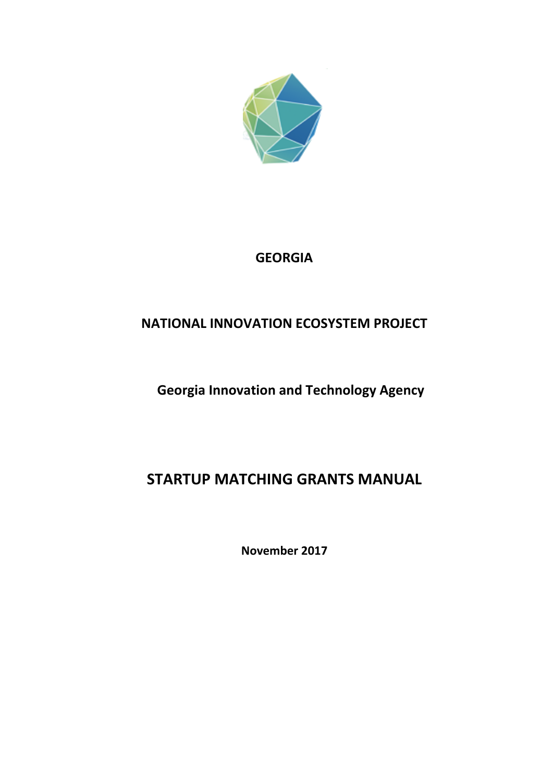

## **GEORGIA**

## **NATIONAL INNOVATION ECOSYSTEM PROJECT**

# **Georgia Innovation and Technology Agency**

# **STARTUP MATCHING GRANTS MANUAL**

**November 2017**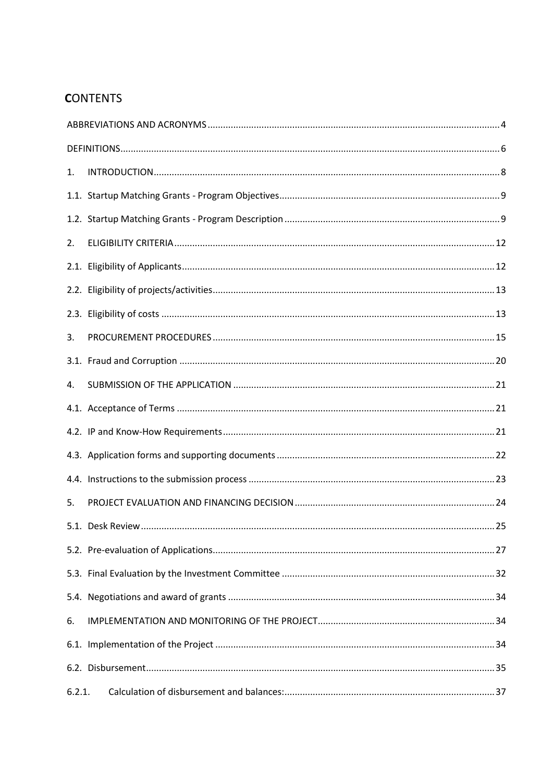## **CONTENTS**

| 1.     |  |
|--------|--|
|        |  |
|        |  |
| 2.     |  |
|        |  |
|        |  |
|        |  |
| 3.     |  |
|        |  |
| 4.     |  |
|        |  |
|        |  |
|        |  |
|        |  |
| 5.     |  |
|        |  |
|        |  |
|        |  |
|        |  |
| 6.     |  |
|        |  |
|        |  |
| 6.2.1. |  |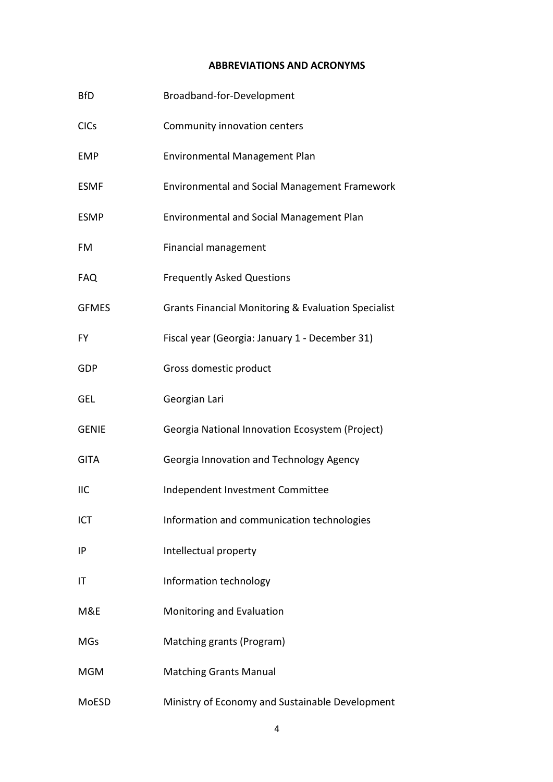#### **ABBREVIATIONS AND ACRONYMS**

<span id="page-3-0"></span>

| <b>BfD</b>   | Broadband-for-Development                                      |
|--------------|----------------------------------------------------------------|
| <b>CICs</b>  | Community innovation centers                                   |
| <b>EMP</b>   | Environmental Management Plan                                  |
| <b>ESMF</b>  | <b>Environmental and Social Management Framework</b>           |
| <b>ESMP</b>  | Environmental and Social Management Plan                       |
| FM           | <b>Financial management</b>                                    |
| <b>FAQ</b>   | <b>Frequently Asked Questions</b>                              |
| <b>GFMES</b> | <b>Grants Financial Monitoring &amp; Evaluation Specialist</b> |
| FY           | Fiscal year (Georgia: January 1 - December 31)                 |
| GDP          | Gross domestic product                                         |
| GEL          | Georgian Lari                                                  |
| <b>GENIE</b> | Georgia National Innovation Ecosystem (Project)                |
| <b>GITA</b>  | Georgia Innovation and Technology Agency                       |
| <b>IIC</b>   | Independent Investment Committee                               |
| ICT          | Information and communication technologies                     |
| IP           | Intellectual property                                          |
| IT           | Information technology                                         |
| M&E          | Monitoring and Evaluation                                      |
| <b>MGs</b>   | Matching grants (Program)                                      |
| <b>MGM</b>   | <b>Matching Grants Manual</b>                                  |
| MoESD        | Ministry of Economy and Sustainable Development                |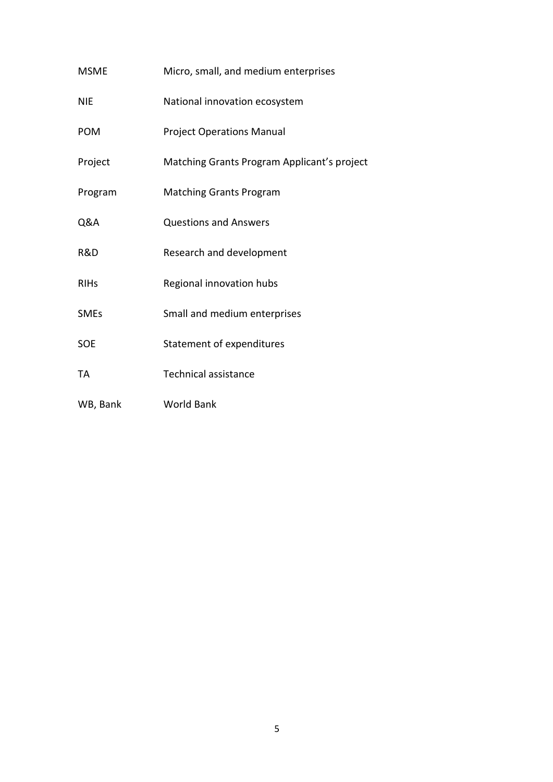| <b>MSME</b> | Micro, small, and medium enterprises        |
|-------------|---------------------------------------------|
| <b>NIE</b>  | National innovation ecosystem               |
| <b>POM</b>  | <b>Project Operations Manual</b>            |
| Project     | Matching Grants Program Applicant's project |
| Program     | <b>Matching Grants Program</b>              |
| Q&A         | <b>Questions and Answers</b>                |
| R&D         | Research and development                    |
| <b>RIHs</b> | Regional innovation hubs                    |
| <b>SMEs</b> | Small and medium enterprises                |
| <b>SOE</b>  | Statement of expenditures                   |
| TA          | <b>Technical assistance</b>                 |
| WB, Bank    | <b>World Bank</b>                           |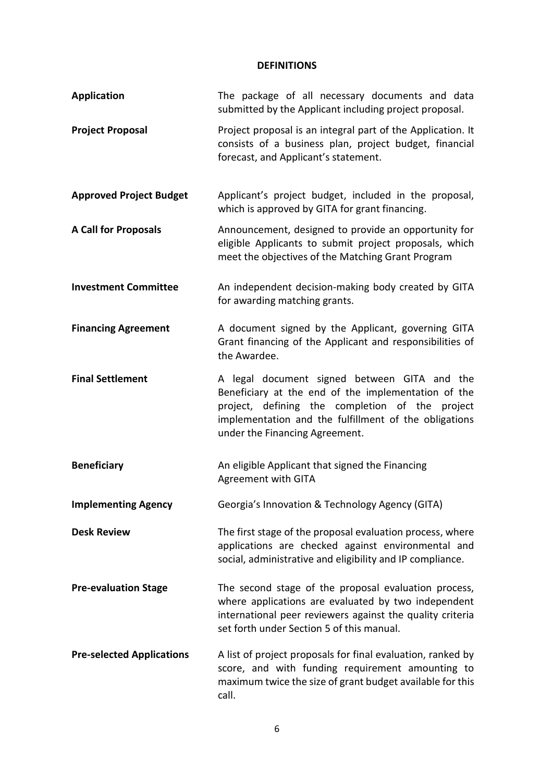## **DEFINITIONS**

<span id="page-5-0"></span>

| <b>Application</b>               | The package of all necessary documents and data<br>submitted by the Applicant including project proposal.                                                                                                                                         |
|----------------------------------|---------------------------------------------------------------------------------------------------------------------------------------------------------------------------------------------------------------------------------------------------|
| <b>Project Proposal</b>          | Project proposal is an integral part of the Application. It<br>consists of a business plan, project budget, financial<br>forecast, and Applicant's statement.                                                                                     |
| <b>Approved Project Budget</b>   | Applicant's project budget, included in the proposal,<br>which is approved by GITA for grant financing.                                                                                                                                           |
| <b>A Call for Proposals</b>      | Announcement, designed to provide an opportunity for<br>eligible Applicants to submit project proposals, which<br>meet the objectives of the Matching Grant Program                                                                               |
| <b>Investment Committee</b>      | An independent decision-making body created by GITA<br>for awarding matching grants.                                                                                                                                                              |
| <b>Financing Agreement</b>       | A document signed by the Applicant, governing GITA<br>Grant financing of the Applicant and responsibilities of<br>the Awardee.                                                                                                                    |
| <b>Final Settlement</b>          | A legal document signed between GITA and the<br>Beneficiary at the end of the implementation of the<br>project, defining the completion of the project<br>implementation and the fulfillment of the obligations<br>under the Financing Agreement. |
| <b>Beneficiary</b>               | An eligible Applicant that signed the Financing<br>Agreement with GITA                                                                                                                                                                            |
| <b>Implementing Agency</b>       | Georgia's Innovation & Technology Agency (GITA)                                                                                                                                                                                                   |
| <b>Desk Review</b>               | The first stage of the proposal evaluation process, where<br>applications are checked against environmental and<br>social, administrative and eligibility and IP compliance.                                                                      |
| <b>Pre-evaluation Stage</b>      | The second stage of the proposal evaluation process,<br>where applications are evaluated by two independent<br>international peer reviewers against the quality criteria<br>set forth under Section 5 of this manual.                             |
| <b>Pre-selected Applications</b> | A list of project proposals for final evaluation, ranked by<br>score, and with funding requirement amounting to<br>maximum twice the size of grant budget available for this<br>call.                                                             |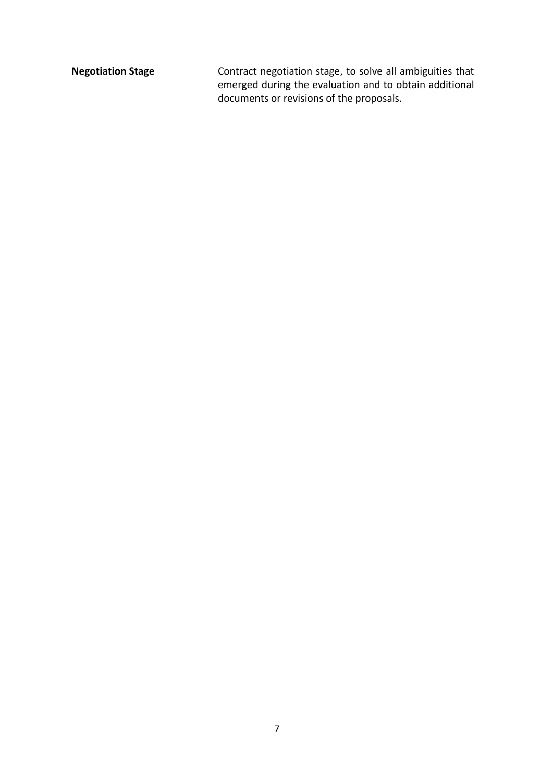**Negotiation Stage** Contract negotiation stage, to solve all ambiguities that emerged during the evaluation and to obtain additional documents or revisions of the proposals.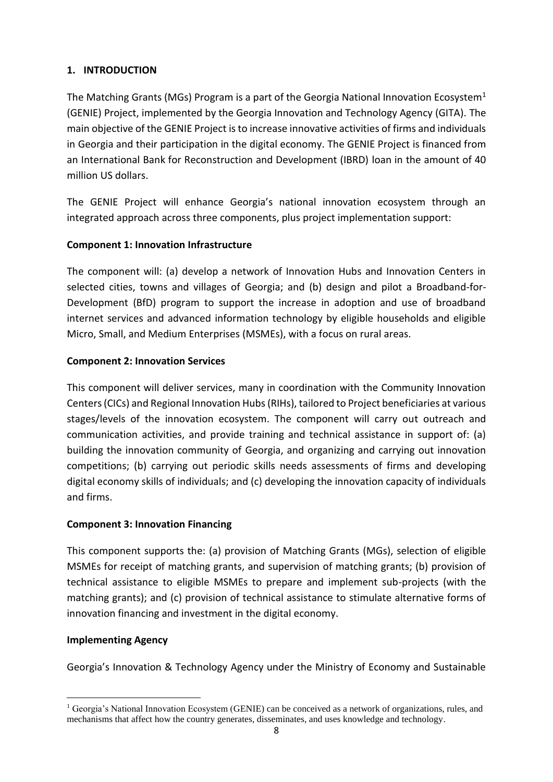## <span id="page-7-0"></span>**1. INTRODUCTION**

The Matching Grants (MGs) Program is a part of the Georgia National Innovation Ecosystem<sup>1</sup> (GENIE) Project, implemented by the Georgia Innovation and Technology Agency (GITA). The main objective of the GENIE Project is to increase innovative activities of firms and individuals in Georgia and their participation in the digital economy. The GENIE Project is financed from an International Bank for Reconstruction and Development (IBRD) loan in the amount of 40 million US dollars.

The GENIE Project will enhance Georgia's national innovation ecosystem through an integrated approach across three components, plus project implementation support:

## **Component 1: Innovation Infrastructure**

The component will: (a) develop a network of Innovation Hubs and Innovation Centers in selected cities, towns and villages of Georgia; and (b) design and pilot a Broadband-for-Development (BfD) program to support the increase in adoption and use of broadband internet services and advanced information technology by eligible households and eligible Micro, Small, and Medium Enterprises (MSMEs), with a focus on rural areas.

## **Component 2: Innovation Services**

This component will deliver services, many in coordination with the Community Innovation Centers (CICs) and Regional Innovation Hubs (RIHs), tailored to Project beneficiaries at various stages/levels of the innovation ecosystem. The component will carry out outreach and communication activities, and provide training and technical assistance in support of: (a) building the innovation community of Georgia, and organizing and carrying out innovation competitions; (b) carrying out periodic skills needs assessments of firms and developing digital economy skills of individuals; and (c) developing the innovation capacity of individuals and firms.

## **Component 3: Innovation Financing**

This component supports the: (a) provision of Matching Grants (MGs), selection of eligible MSMEs for receipt of matching grants, and supervision of matching grants; (b) provision of technical assistance to eligible MSMEs to prepare and implement sub-projects (with the matching grants); and (c) provision of technical assistance to stimulate alternative forms of innovation financing and investment in the digital economy.

## **Implementing Agency**

 $\overline{\phantom{a}}$ 

Georgia's Innovation & Technology Agency under the Ministry of Economy and Sustainable

<sup>&</sup>lt;sup>1</sup> Georgia's National Innovation Ecosystem (GENIE) can be conceived as a network of organizations, rules, and mechanisms that affect how the country generates, disseminates, and uses knowledge and technology.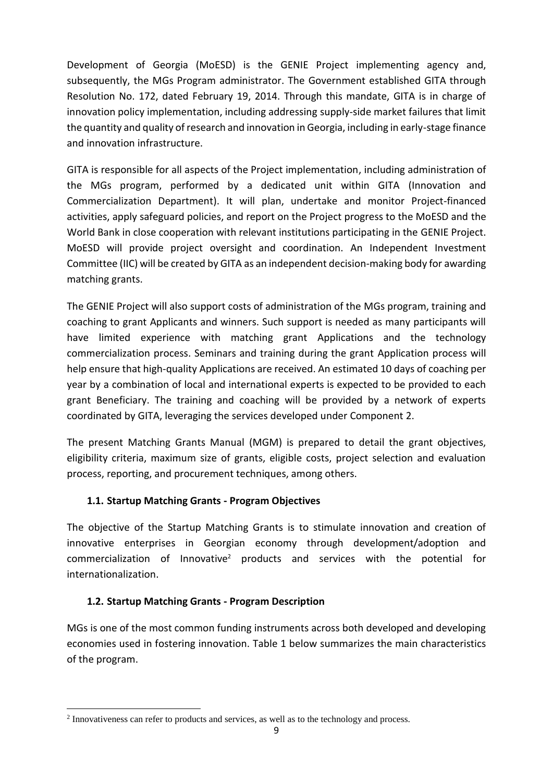Development of Georgia (MoESD) is the GENIE Project implementing agency and, subsequently, the MGs Program administrator. The Government established GITA through Resolution No. 172, dated February 19, 2014. Through this mandate, GITA is in charge of innovation policy implementation, including addressing supply-side market failures that limit the quantity and quality of research and innovation in Georgia, including in early-stage finance and innovation infrastructure.

GITA is responsible for all aspects of the Project implementation, including administration of the MGs program, performed by a dedicated unit within GITA (Innovation and Commercialization Department). It will plan, undertake and monitor Project-financed activities, apply safeguard policies, and report on the Project progress to the MoESD and the World Bank in close cooperation with relevant institutions participating in the GENIE Project. MoESD will provide project oversight and coordination. An Independent Investment Committee (IIC) will be created by GITA as an independent decision-making body for awarding matching grants.

The GENIE Project will also support costs of administration of the MGs program, training and coaching to grant Applicants and winners. Such support is needed as many participants will have limited experience with matching grant Applications and the technology commercialization process. Seminars and training during the grant Application process will help ensure that high-quality Applications are received. An estimated 10 days of coaching per year by a combination of local and international experts is expected to be provided to each grant Beneficiary. The training and coaching will be provided by a network of experts coordinated by GITA, leveraging the services developed under Component 2.

The present Matching Grants Manual (MGM) is prepared to detail the grant objectives, eligibility criteria, maximum size of grants, eligible costs, project selection and evaluation process, reporting, and procurement techniques, among others.

## <span id="page-8-0"></span>**1.1. Startup Matching Grants - Program Objectives**

The objective of the Startup Matching Grants is to stimulate innovation and creation of innovative enterprises in Georgian economy through development/adoption and commercialization of Innovative<sup>2</sup> products and services with the potential for internationalization.

## <span id="page-8-1"></span>**1.2. Startup Matching Grants - Program Description**

1

MGs is one of the most common funding instruments across both developed and developing economies used in fostering innovation. Table 1 below summarizes the main characteristics of the program.

<sup>&</sup>lt;sup>2</sup> Innovativeness can refer to products and services, as well as to the technology and process.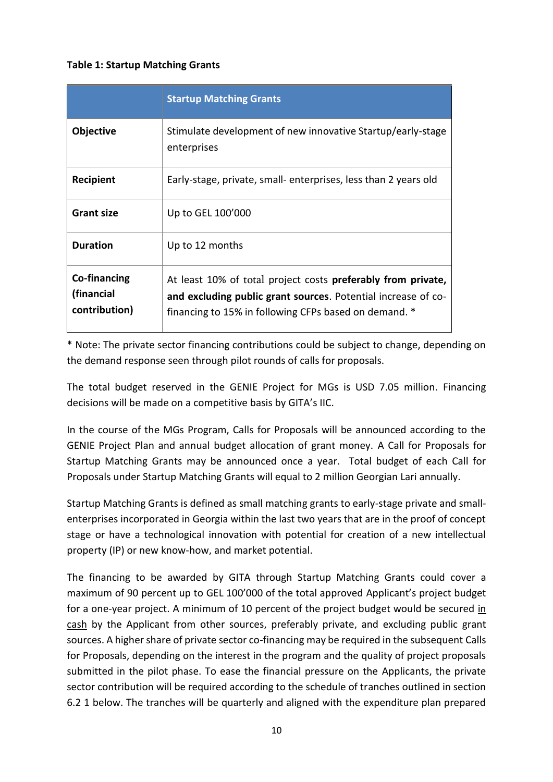#### **Table 1: Startup Matching Grants**

|                                                    | <b>Startup Matching Grants</b>                                                                                                                                                                 |
|----------------------------------------------------|------------------------------------------------------------------------------------------------------------------------------------------------------------------------------------------------|
| Objective                                          | Stimulate development of new innovative Startup/early-stage<br>enterprises                                                                                                                     |
| <b>Recipient</b>                                   | Early-stage, private, small- enterprises, less than 2 years old                                                                                                                                |
| <b>Grant size</b>                                  | Up to GEL 100'000                                                                                                                                                                              |
| <b>Duration</b>                                    | Up to 12 months                                                                                                                                                                                |
| <b>Co-financing</b><br>(financial<br>contribution) | At least 10% of total project costs <b>preferably from private</b> ,<br>and excluding public grant sources. Potential increase of co-<br>financing to 15% in following CFPs based on demand. * |

\* Note: The private sector financing contributions could be subject to change, depending on the demand response seen through pilot rounds of calls for proposals.

The total budget reserved in the GENIE Project for MGs is USD 7.05 million. Financing decisions will be made on a competitive basis by GITA's IIC.

In the course of the MGs Program, Calls for Proposals will be announced according to the GENIE Project Plan and annual budget allocation of grant money. A Call for Proposals for Startup Matching Grants may be announced once a year. Total budget of each Call for Proposals under Startup Matching Grants will equal to 2 million Georgian Lari annually.

Startup Matching Grants is defined as small matching grants to early-stage private and smallenterprises incorporated in Georgia within the last two years that are in the proof of concept stage or have a technological innovation with potential for creation of a new intellectual property (IP) or new know-how, and market potential.

The financing to be awarded by GITA through Startup Matching Grants could cover a maximum of 90 percent up to GEL 100'000 of the total approved Applicant's project budget for a one-year project. A minimum of 10 percent of the project budget would be secured in cash by the Applicant from other sources, preferably private, and excluding public grant sources. A higher share of private sector co-financing may be required in the subsequent Calls for Proposals, depending on the interest in the program and the quality of project proposals submitted in the pilot phase. To ease the financial pressure on the Applicants, the private sector contribution will be required according to the schedule of tranches outlined in section 6.2 1 below. The tranches will be quarterly and aligned with the expenditure plan prepared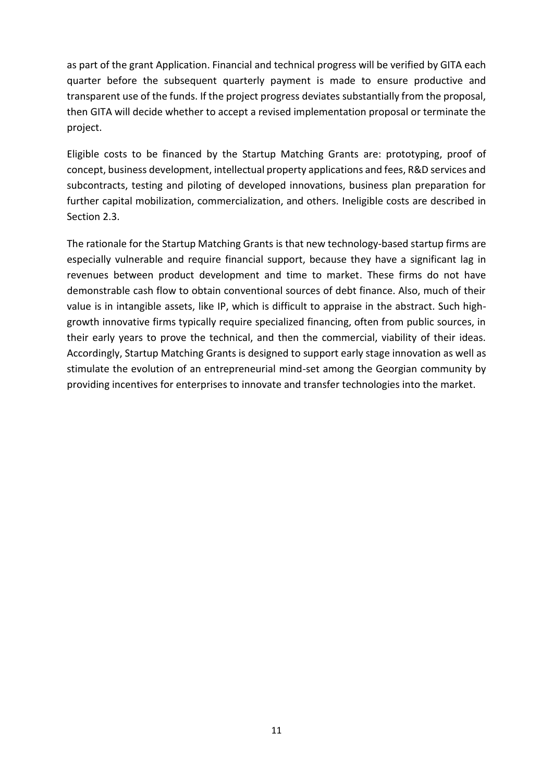as part of the grant Application. Financial and technical progress will be verified by GITA each quarter before the subsequent quarterly payment is made to ensure productive and transparent use of the funds. If the project progress deviates substantially from the proposal, then GITA will decide whether to accept a revised implementation proposal or terminate the project.

Eligible costs to be financed by the Startup Matching Grants are: prototyping, proof of concept, business development, intellectual property applications and fees, R&D services and subcontracts, testing and piloting of developed innovations, business plan preparation for further capital mobilization, commercialization, and others. Ineligible costs are described in Section 2.3.

The rationale for the Startup Matching Grants is that new technology-based startup firms are especially vulnerable and require financial support, because they have a significant lag in revenues between product development and time to market. These firms do not have demonstrable cash flow to obtain conventional sources of debt finance. Also, much of their value is in intangible assets, like IP, which is difficult to appraise in the abstract. Such highgrowth innovative firms typically require specialized financing, often from public sources, in their early years to prove the technical, and then the commercial, viability of their ideas. Accordingly, Startup Matching Grants is designed to support early stage innovation as well as stimulate the evolution of an entrepreneurial mind-set among the Georgian community by providing incentives for enterprises to innovate and transfer technologies into the market.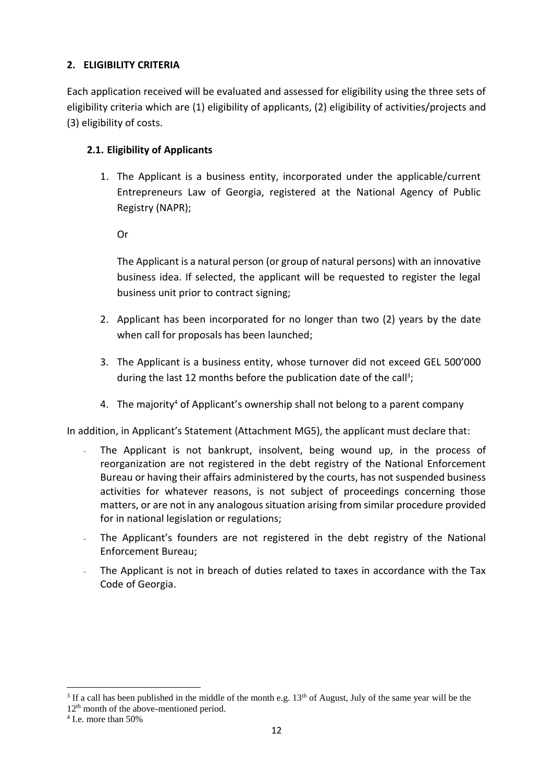## <span id="page-11-0"></span>**2. ELIGIBILITY CRITERIA**

Each application received will be evaluated and assessed for eligibility using the three sets of eligibility criteria which are (1) eligibility of applicants, (2) eligibility of activities/projects and (3) eligibility of costs.

## <span id="page-11-1"></span>**2.1. Eligibility of Applicants**

1. The Applicant is a business entity, incorporated under the applicable/current Entrepreneurs Law of Georgia, registered at the National Agency of Public Registry (NAPR);

Or

The Applicant is a natural person (or group of natural persons) with an innovative business idea. If selected, the applicant will be requested to register the legal business unit prior to contract signing;

- 2. Applicant has been incorporated for no longer than two (2) years by the date when call for proposals has been launched;
- 3. The Applicant is a business entity, whose turnover did not exceed GEL 500'000 during the last 12 months before the publication date of the call<sup>3</sup>;
- 4. The majority<sup>4</sup> of Applicant's ownership shall not belong to a parent company

In addition, in Applicant's Statement (Attachment MG5), the applicant must declare that:

- The Applicant is not bankrupt, insolvent, being wound up, in the process of reorganization are not registered in the debt registry of the National Enforcement Bureau or having their affairs administered by the courts, has not suspended business activities for whatever reasons, is not subject of proceedings concerning those matters, or are not in any analogous situation arising from similar procedure provided for in national legislation or regulations;
- The Applicant's founders are not registered in the debt registry of the National Enforcement Bureau;
- The Applicant is not in breach of duties related to taxes in accordance with the Tax Code of Georgia.

**.** 

<sup>&</sup>lt;sup>3</sup> If a call has been published in the middle of the month e.g.  $13<sup>th</sup>$  of August, July of the same year will be the

<sup>12</sup>th month of the above-mentioned period.

<sup>4</sup> I.e. more than 50%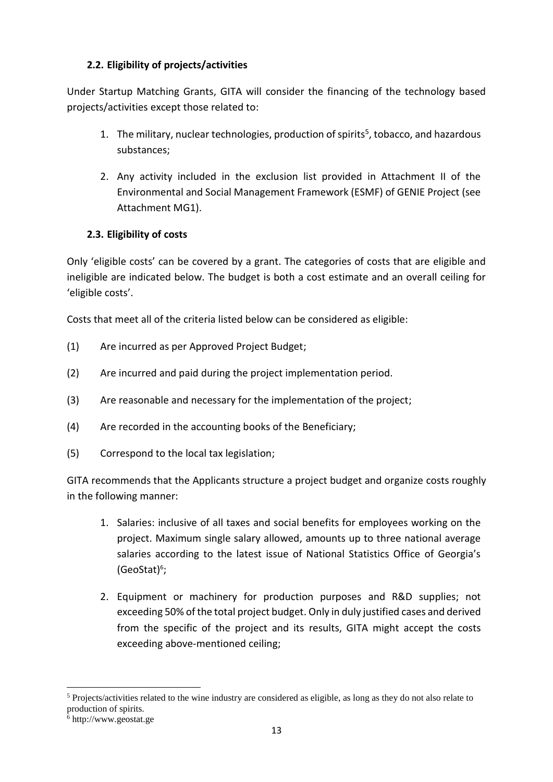## <span id="page-12-0"></span>**2.2. Eligibility of projects/activities**

Under Startup Matching Grants, GITA will consider the financing of the technology based projects/activities except those related to:

- 1. The military, nuclear technologies, production of spirits<sup>5</sup>, tobacco, and hazardous substances;
- 2. Any activity included in the exclusion list provided in Attachment II of the Environmental and Social Management Framework (ESMF) of GENIE Project (see Attachment MG1).

## <span id="page-12-1"></span>**2.3. Eligibility of costs**

Only 'eligible costs' can be covered by a grant. The categories of costs that are eligible and ineligible are indicated below. The budget is both a cost estimate and an overall ceiling for 'eligible costs'.

Costs that meet all of the criteria listed below can be considered as eligible:

- (1) Are incurred as per Approved Project Budget;
- (2) Are incurred and paid during the project implementation period.
- (3) Are reasonable and necessary for the implementation of the project;
- (4) Are recorded in the accounting books of the Beneficiary;
- (5) Correspond to the local tax legislation;

GITA recommends that the Applicants structure a project budget and organize costs roughly in the following manner:

- 1. Salaries: inclusive of all taxes and social benefits for employees working on the project. Maximum single salary allowed, amounts up to three national average salaries according to the latest issue of National Statistics Office of Georgia's (GeoStat)<sup>6</sup>;
- 2. Equipment or machinery for production purposes and R&D supplies; not exceeding 50% of the total project budget. Only in duly justified cases and derived from the specific of the project and its results, GITA might accept the costs exceeding above-mentioned ceiling;

**.** 

<sup>5</sup> Projects/activities related to the wine industry are considered as eligible, as long as they do not also relate to production of spirits.

<sup>6</sup> http://www.geostat.ge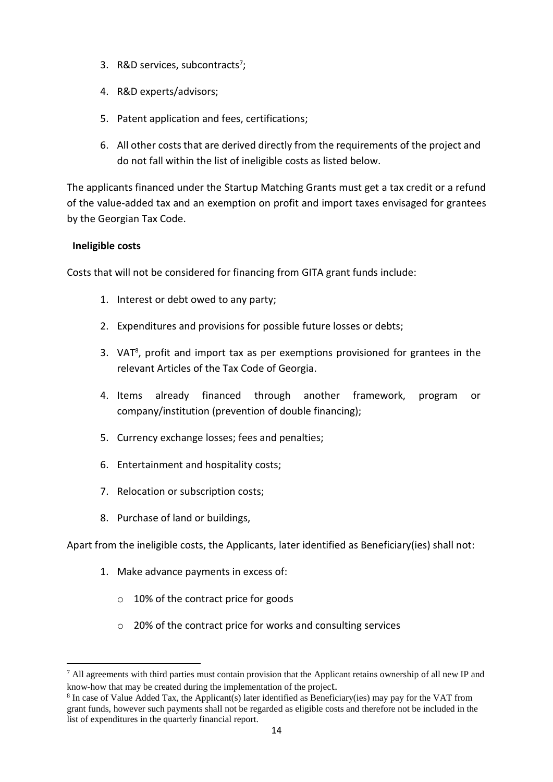- 3. R&D services, subcontracts<sup>7</sup>;
- 4. R&D experts/advisors;
- 5. Patent application and fees, certifications;
- 6. All other costs that are derived directly from the requirements of the project and do not fall within the list of ineligible costs as listed below.

The applicants financed under the Startup Matching Grants must get a tax credit or a refund of the value-added tax and an exemption on profit and import taxes envisaged for grantees by the Georgian Tax Code.

## **Ineligible costs**

1

Costs that will not be considered for financing from GITA grant funds include:

- 1. Interest or debt owed to any party;
- 2. Expenditures and provisions for possible future losses or debts;
- 3. VAT<sup>8</sup>, profit and import tax as per exemptions provisioned for grantees in the relevant Articles of the Tax Code of Georgia.
- 4. Items already financed through another framework, program or company/institution (prevention of double financing);
- 5. Currency exchange losses; fees and penalties;
- 6. Entertainment and hospitality costs;
- 7. Relocation or subscription costs;
- 8. Purchase of land or buildings,

Apart from the ineligible costs, the Applicants, later identified as Beneficiary(ies) shall not:

- 1. Make advance payments in excess of:
	- o 10% of the contract price for goods
	- o 20% of the contract price for works and consulting services

 $<sup>7</sup>$  All agreements with third parties must contain provision that the Applicant retains ownership of all new IP and</sup> know-how that may be created during the implementation of the project.

<sup>&</sup>lt;sup>8</sup> In case of Value Added Tax, the Applicant(s) later identified as Beneficiary(ies) may pay for the VAT from grant funds, however such payments shall not be regarded as eligible costs and therefore not be included in the list of expenditures in the quarterly financial report.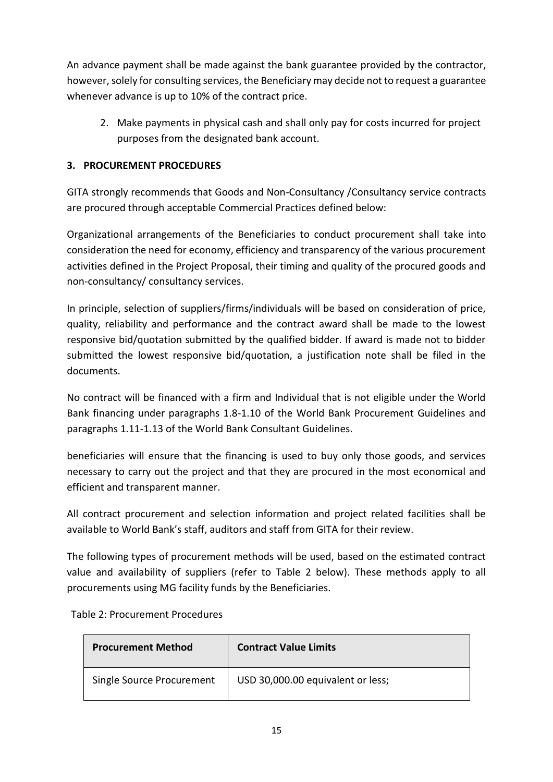An advance payment shall be made against the bank guarantee provided by the contractor, however, solely for consulting services, the Beneficiary may decide not to request a guarantee whenever advance is up to 10% of the contract price.

2. Make payments in physical cash and shall only pay for costs incurred for project purposes from the designated bank account.

## <span id="page-14-0"></span>**3. PROCUREMENT PROCEDURES**

GITA strongly recommends that Goods and Non-Consultancy /Consultancy service contracts are procured through acceptable Commercial Practices defined below:

Organizational arrangements of the Beneficiaries to conduct procurement shall take into consideration the need for economy, efficiency and transparency of the various procurement activities defined in the Project Proposal, their timing and quality of the procured goods and non-consultancy/ consultancy services.

In principle, selection of suppliers/firms/individuals will be based on consideration of price, quality, reliability and performance and the contract award shall be made to the lowest responsive bid/quotation submitted by the qualified bidder. If award is made not to bidder submitted the lowest responsive bid/quotation, a justification note shall be filed in the documents.

No contract will be financed with a firm and Individual that is not eligible under the World Bank financing under paragraphs 1.8-1.10 of the World Bank Procurement Guidelines and paragraphs 1.11-1.13 of the World Bank Consultant Guidelines.

beneficiaries will ensure that the financing is used to buy only those goods, and services necessary to carry out the project and that they are procured in the most economical and efficient and transparent manner.

All contract procurement and selection information and project related facilities shall be available to World Bank's staff, auditors and staff from GITA for their review.

The following types of procurement methods will be used, based on the estimated contract value and availability of suppliers (refer to Table 2 below). These methods apply to all procurements using MG facility funds by the Beneficiaries.

| Table 2: Procurement Procedures |  |
|---------------------------------|--|
|---------------------------------|--|

| <b>Procurement Method</b> | <b>Contract Value Limits</b>      |  |  |
|---------------------------|-----------------------------------|--|--|
| Single Source Procurement | USD 30,000.00 equivalent or less; |  |  |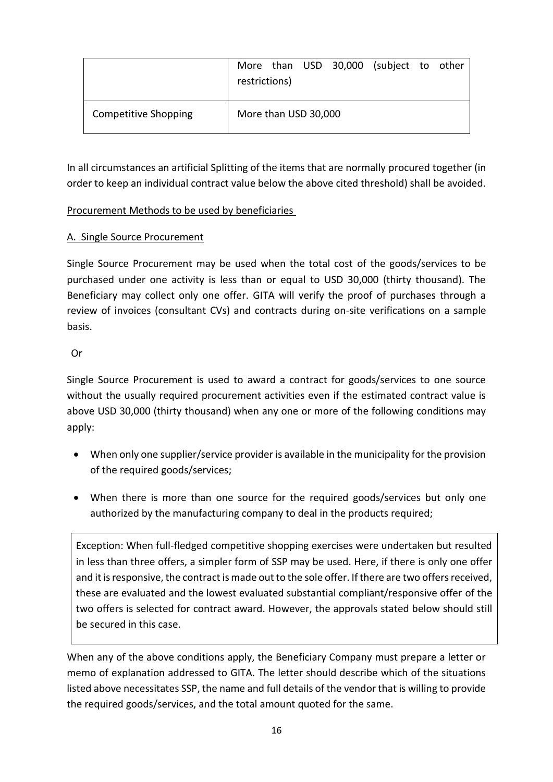|                             | restrictions)        |  | More than USD 30,000 (subject to other |  |
|-----------------------------|----------------------|--|----------------------------------------|--|
| <b>Competitive Shopping</b> | More than USD 30,000 |  |                                        |  |

In all circumstances an artificial Splitting of the items that are normally procured together (in order to keep an individual contract value below the above cited threshold) shall be avoided.

## Procurement Methods to be used by beneficiaries

## A. Single Source Procurement

Single Source Procurement may be used when the total cost of the goods/services to be purchased under one activity is less than or equal to USD 30,000 (thirty thousand). The Beneficiary may collect only one offer. GITA will verify the proof of purchases through a review of invoices (consultant CVs) and contracts during on-site verifications on a sample basis.

Or

Single Source Procurement is used to award a contract for goods/services to one source without the usually required procurement activities even if the estimated contract value is above USD 30,000 (thirty thousand) when any one or more of the following conditions may apply:

- When only one supplier/service provider is available in the municipality for the provision of the required goods/services;
- When there is more than one source for the required goods/services but only one authorized by the manufacturing company to deal in the products required;

Exception: When full-fledged competitive shopping exercises were undertaken but resulted in less than three offers, a simpler form of SSP may be used. Here, if there is only one offer and it is responsive, the contract is made out to the sole offer. If there are two offers received, these are evaluated and the lowest evaluated substantial compliant/responsive offer of the two offers is selected for contract award. However, the approvals stated below should still be secured in this case.

When any of the above conditions apply, the Beneficiary Company must prepare a letter or memo of explanation addressed to GITA. The letter should describe which of the situations listed above necessitates SSP, the name and full details of the vendor that is willing to provide the required goods/services, and the total amount quoted for the same.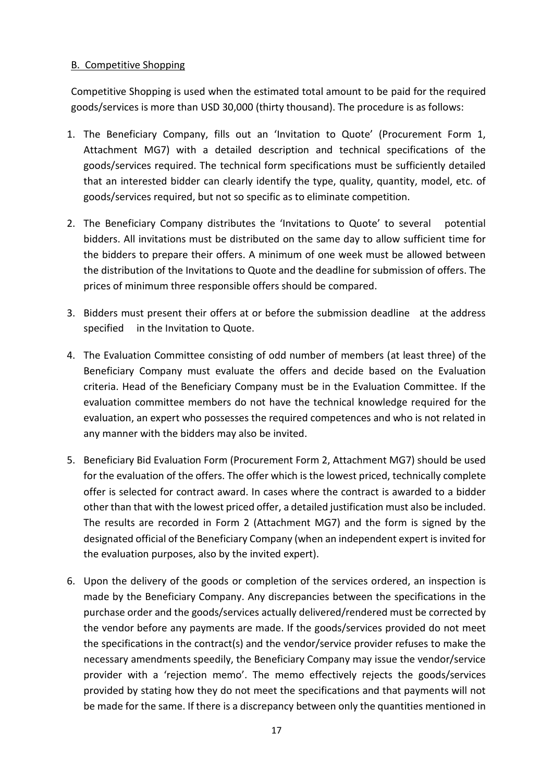## B. Competitive Shopping

Competitive Shopping is used when the estimated total amount to be paid for the required goods/services is more than USD 30,000 (thirty thousand). The procedure is as follows:

- 1. The Beneficiary Company, fills out an 'Invitation to Quote' (Procurement Form 1, Attachment MG7) with a detailed description and technical specifications of the goods/services required. The technical form specifications must be sufficiently detailed that an interested bidder can clearly identify the type, quality, quantity, model, etc. of goods/services required, but not so specific as to eliminate competition.
- 2. The Beneficiary Company distributes the 'Invitations to Quote' to several potential bidders. All invitations must be distributed on the same day to allow sufficient time for the bidders to prepare their offers. A minimum of one week must be allowed between the distribution of the Invitations to Quote and the deadline for submission of offers. The prices of minimum three responsible offers should be compared.
- 3. Bidders must present their offers at or before the submission deadline at the address specified in the Invitation to Quote.
- 4. The Evaluation Committee consisting of odd number of members (at least three) of the Beneficiary Company must evaluate the offers and decide based on the Evaluation criteria. Head of the Beneficiary Company must be in the Evaluation Committee. If the evaluation committee members do not have the technical knowledge required for the evaluation, an expert who possesses the required competences and who is not related in any manner with the bidders may also be invited.
- 5. Beneficiary Bid Evaluation Form (Procurement Form 2, Attachment MG7) should be used for the evaluation of the offers. The offer which is the lowest priced, technically complete offer is selected for contract award. In cases where the contract is awarded to a bidder other than that with the lowest priced offer, a detailed justification must also be included. The results are recorded in Form 2 (Attachment MG7) and the form is signed by the designated official of the Beneficiary Company (when an independent expert is invited for the evaluation purposes, also by the invited expert).
- 6. Upon the delivery of the goods or completion of the services ordered, an inspection is made by the Beneficiary Company. Any discrepancies between the specifications in the purchase order and the goods/services actually delivered/rendered must be corrected by the vendor before any payments are made. If the goods/services provided do not meet the specifications in the contract(s) and the vendor/service provider refuses to make the necessary amendments speedily, the Beneficiary Company may issue the vendor/service provider with a 'rejection memo'. The memo effectively rejects the goods/services provided by stating how they do not meet the specifications and that payments will not be made for the same. If there is a discrepancy between only the quantities mentioned in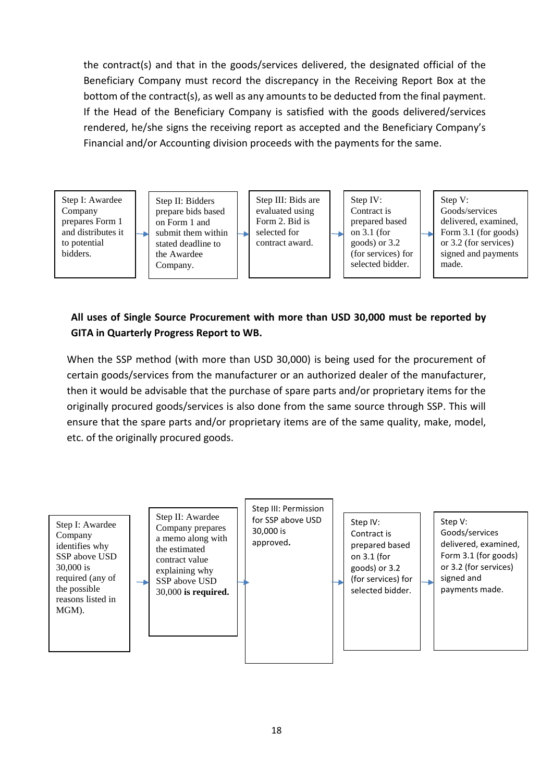the contract(s) and that in the goods/services delivered, the designated official of the Beneficiary Company must record the discrepancy in the Receiving Report Box at the bottom of the contract(s), as well as any amounts to be deducted from the final payment. If the Head of the Beneficiary Company is satisfied with the goods delivered/services rendered, he/she signs the receiving report as accepted and the Beneficiary Company's Financial and/or Accounting division proceeds with the payments for the same.



## **All uses of Single Source Procurement with more than USD 30,000 must be reported by GITA in Quarterly Progress Report to WB.**

When the SSP method (with more than USD 30,000) is being used for the procurement of certain goods/services from the manufacturer or an authorized dealer of the manufacturer, then it would be advisable that the purchase of spare parts and/or proprietary items for the originally procured goods/services is also done from the same source through SSP. This will ensure that the spare parts and/or proprietary items are of the same quality, make, model, etc. of the originally procured goods.

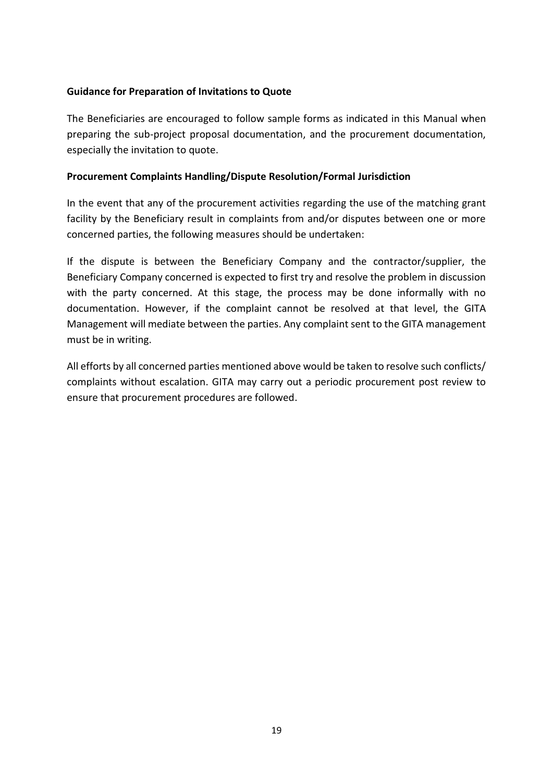#### **Guidance for Preparation of Invitations to Quote**

The Beneficiaries are encouraged to follow sample forms as indicated in this Manual when preparing the sub-project proposal documentation, and the procurement documentation, especially the invitation to quote.

#### **Procurement Complaints Handling/Dispute Resolution/Formal Jurisdiction**

In the event that any of the procurement activities regarding the use of the matching grant facility by the Beneficiary result in complaints from and/or disputes between one or more concerned parties, the following measures should be undertaken:

If the dispute is between the Beneficiary Company and the contractor/supplier, the Beneficiary Company concerned is expected to first try and resolve the problem in discussion with the party concerned. At this stage, the process may be done informally with no documentation. However, if the complaint cannot be resolved at that level, the GITA Management will mediate between the parties. Any complaint sent to the GITA management must be in writing.

All efforts by all concerned parties mentioned above would be taken to resolve such conflicts/ complaints without escalation. GITA may carry out a periodic procurement post review to ensure that procurement procedures are followed.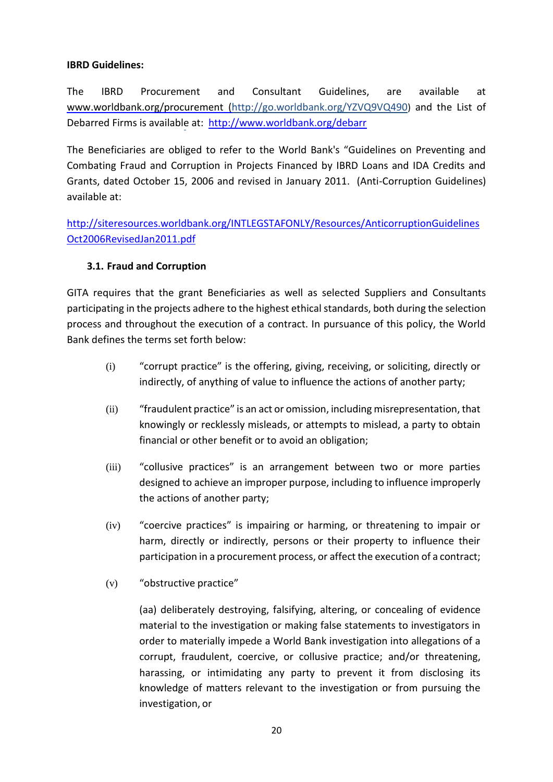#### **IBRD Guidelines:**

The IBRD Procurement and Consultant Guidelines, are available at [www.worldbank.org/procurement](http://www.worldbank.org/procurement) [\(http://go.worldbank.org/YZVQ9VQ490](http://go.worldbank.org/YZVQ9VQ490)) and the List of Debarred Firms is available at:<http://www.worldbank.org/debarr>

The Beneficiaries are obliged to refer to the World Bank's "Guidelines on Preventing and Combating Fraud and Corruption in Projects Financed by IBRD Loans and IDA Credits and Grants, dated October 15, 2006 and revised in January 2011. (Anti-Corruption Guidelines) available at:

[http://siteresources.worldbank.org/INTLEGSTAFONLY/Resources/AnticorruptionGuidelines](http://siteresources.worldbank.org/INTLEGSTAFONLY/Resources/AnticorruptionGuidelinesOct2006RevisedJan2011.pdf) [Oct2006RevisedJan2011.pdf](http://siteresources.worldbank.org/INTLEGSTAFONLY/Resources/AnticorruptionGuidelinesOct2006RevisedJan2011.pdf)

#### <span id="page-19-0"></span>**3.1. Fraud and Corruption**

GITA requires that the grant Beneficiaries as well as selected Suppliers and Consultants participating in the projects adhere to the highest ethical standards, both during the selection process and throughout the execution of a contract. In pursuance of this policy, the World Bank defines the terms set forth below:

- (i) "corrupt practice" is the offering, giving, receiving, or soliciting, directly or indirectly, of anything of value to influence the actions of another party;
- (ii) "fraudulent practice" is an act or omission, including misrepresentation, that knowingly or recklessly misleads, or attempts to mislead, a party to obtain financial or other benefit or to avoid an obligation;
- (iii) "collusive practices" is an arrangement between two or more parties designed to achieve an improper purpose, including to influence improperly the actions of another party;
- (iv) "coercive practices" is impairing or harming, or threatening to impair or harm, directly or indirectly, persons or their property to influence their participation in a procurement process, or affect the execution of a contract;
- (v) "obstructive practice"

(aa) deliberately destroying, falsifying, altering, or concealing of evidence material to the investigation or making false statements to investigators in order to materially impede a World Bank investigation into allegations of a corrupt, fraudulent, coercive, or collusive practice; and/or threatening, harassing, or intimidating any party to prevent it from disclosing its knowledge of matters relevant to the investigation or from pursuing the investigation, or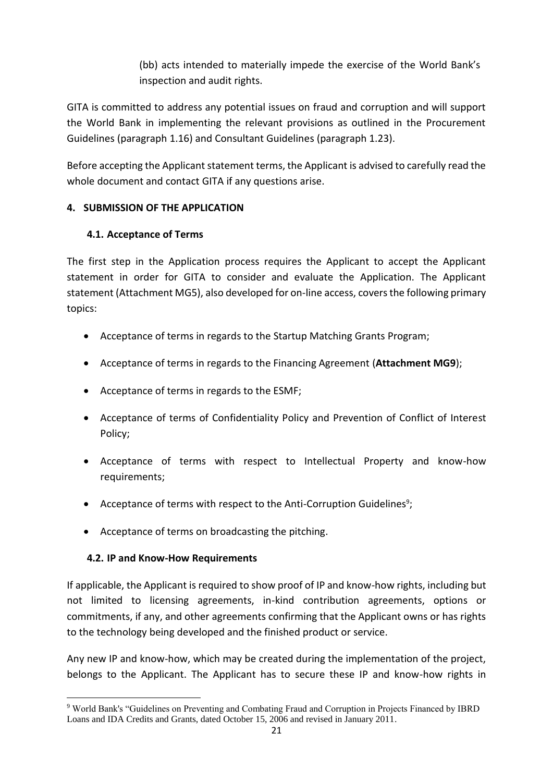(bb) acts intended to materially impede the exercise of the World Bank's inspection and audit rights.

GITA is committed to address any potential issues on fraud and corruption and will support the World Bank in implementing the relevant provisions as outlined in the Procurement Guidelines (paragraph 1.16) and Consultant Guidelines (paragraph 1.23).

Before accepting the Applicant statement terms, the Applicant is advised to carefully read the whole document and contact GITA if any questions arise.

## <span id="page-20-0"></span>**4. SUBMISSION OF THE APPLICATION**

## <span id="page-20-1"></span>**4.1. Acceptance of Terms**

The first step in the Application process requires the Applicant to accept the Applicant statement in order for GITA to consider and evaluate the Application. The Applicant statement (Attachment MG5), also developed for on-line access, covers the following primary topics:

- Acceptance of terms in regards to the Startup Matching Grants Program;
- Acceptance of terms in regards to the Financing Agreement (**Attachment MG9**);
- Acceptance of terms in regards to the ESMF;
- Acceptance of terms of Confidentiality Policy and Prevention of Conflict of Interest Policy;
- Acceptance of terms with respect to Intellectual Property and know-how requirements;
- Acceptance of terms with respect to the Anti-Corruption Guidelines<sup>9</sup>;
- Acceptance of terms on broadcasting the pitching.

## <span id="page-20-2"></span>**4.2. IP and Know-How Requirements**

 $\overline{\phantom{a}}$ 

If applicable, the Applicant is required to show proof of IP and know-how rights, including but not limited to licensing agreements, in-kind contribution agreements, options or commitments, if any, and other agreements confirming that the Applicant owns or has rights to the technology being developed and the finished product or service.

Any new IP and know-how, which may be created during the implementation of the project, belongs to the Applicant. The Applicant has to secure these IP and know-how rights in

<sup>9</sup> World Bank's "Guidelines on Preventing and Combating Fraud and Corruption in Projects Financed by IBRD Loans and IDA Credits and Grants, dated October 15, 2006 and revised in January 2011.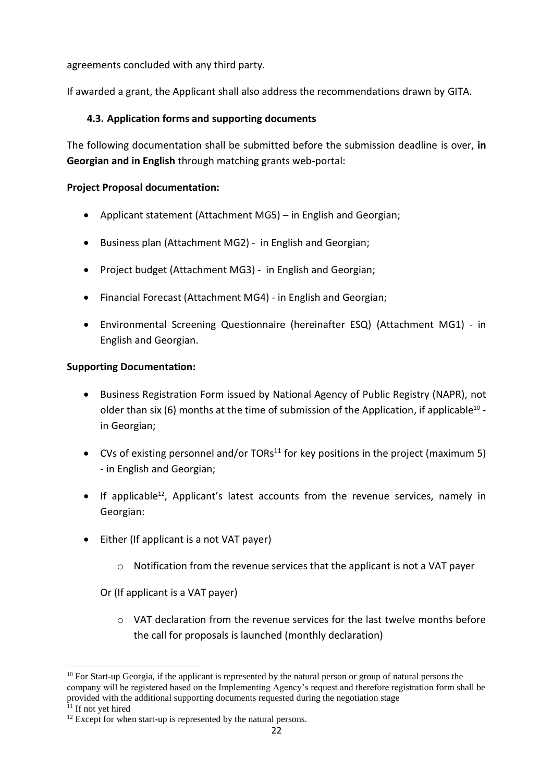agreements concluded with any third party.

If awarded a grant, the Applicant shall also address the recommendations drawn by GITA.

## <span id="page-21-0"></span>**4.3. Application forms and supporting documents**

The following documentation shall be submitted before the submission deadline is over, **in Georgian and in English** through matching grants web-portal:

## **Project Proposal documentation:**

- Applicant statement (Attachment MG5) in English and Georgian;
- Business plan (Attachment MG2) in English and Georgian;
- Project budget (Attachment MG3) in English and Georgian;
- Financial Forecast (Attachment MG4) in English and Georgian;
- Environmental Screening Questionnaire (hereinafter ESQ) (Attachment MG1) in English and Georgian.

#### **Supporting Documentation:**

- Business Registration Form issued by National Agency of Public Registry (NAPR), not older than six (6) months at the time of submission of the Application, if applicable<sup>10</sup> in Georgian;
- CVs of existing personnel and/or TORs<sup>11</sup> for key positions in the project (maximum 5) - in English and Georgian;
- If applicable<sup>12</sup>, Applicant's latest accounts from the revenue services, namely in Georgian:
- Either (If applicant is a not VAT payer)
	- $\circ$  Notification from the revenue services that the applicant is not a VAT payer

Or (If applicant is a VAT payer)

 $\circ$  VAT declaration from the revenue services for the last twelve months before the call for proposals is launched (monthly declaration)

<sup>1</sup>  $10$  For Start-up Georgia, if the applicant is represented by the natural person or group of natural persons the company will be registered based on the Implementing Agency's request and therefore registration form shall be provided with the additional supporting documents requested during the negotiation stage

 $11$  If not yet hired

 $12$  Except for when start-up is represented by the natural persons.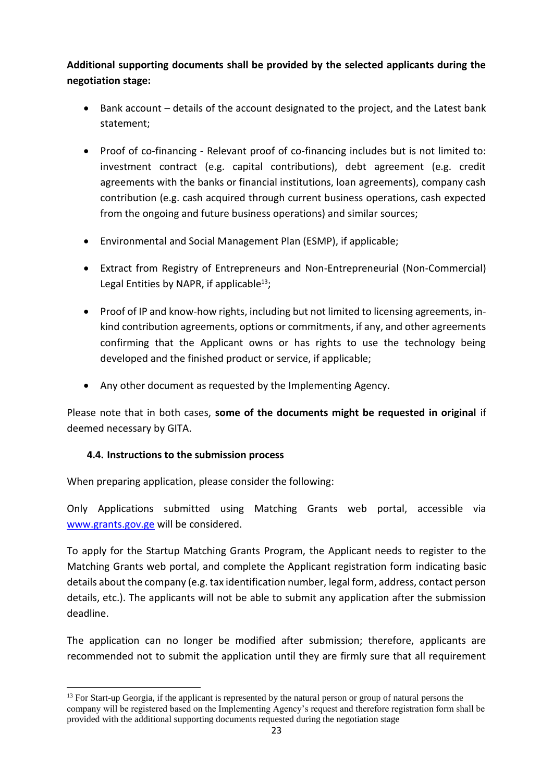**Additional supporting documents shall be provided by the selected applicants during the negotiation stage:**

- Bank account details of the account designated to the project, and the Latest bank statement;
- Proof of co-financing Relevant proof of co-financing includes but is not limited to: investment contract (e.g. capital contributions), debt agreement (e.g. credit agreements with the banks or financial institutions, loan agreements), company cash contribution (e.g. cash acquired through current business operations, cash expected from the ongoing and future business operations) and similar sources;
- Environmental and Social Management Plan (ESMP), if applicable;
- Extract from Registry of Entrepreneurs and Non-Entrepreneurial (Non-Commercial) Legal Entities by NAPR, if applicable<sup>13</sup>;
- Proof of IP and know-how rights, including but not limited to licensing agreements, inkind contribution agreements, options or commitments, if any, and other agreements confirming that the Applicant owns or has rights to use the technology being developed and the finished product or service, if applicable;
- Any other document as requested by the Implementing Agency.

Please note that in both cases, **some of the documents might be requested in original** if deemed necessary by GITA.

## <span id="page-22-0"></span>**4.4. Instructions to the submission process**

**.** 

When preparing application, please consider the following:

Only Applications submitted using Matching Grants web portal, accessible via [www.grants.gov.ge](http://www.grants.gov.ge/) will be considered.

To apply for the Startup Matching Grants Program, the Applicant needs to register to the Matching Grants web portal, and complete the Applicant registration form indicating basic details about the company (e.g. tax identification number, legal form, address, contact person details, etc.). The applicants will not be able to submit any application after the submission deadline.

The application can no longer be modified after submission; therefore, applicants are recommended not to submit the application until they are firmly sure that all requirement

<sup>&</sup>lt;sup>13</sup> For Start-up Georgia, if the applicant is represented by the natural person or group of natural persons the company will be registered based on the Implementing Agency's request and therefore registration form shall be provided with the additional supporting documents requested during the negotiation stage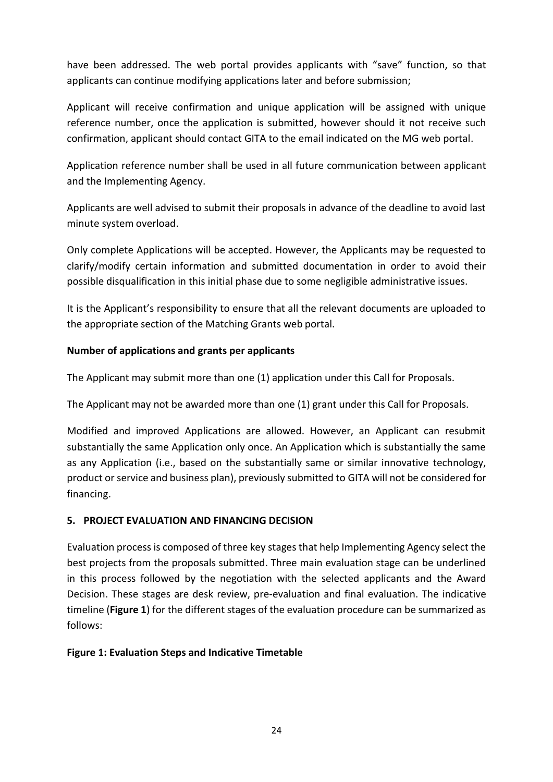have been addressed. The web portal provides applicants with "save" function, so that applicants can continue modifying applications later and before submission;

Applicant will receive confirmation and unique application will be assigned with unique reference number, once the application is submitted, however should it not receive such confirmation, applicant should contact GITA to the email indicated on the MG web portal.

Application reference number shall be used in all future communication between applicant and the Implementing Agency.

Applicants are well advised to submit their proposals in advance of the deadline to avoid last minute system overload.

Only complete Applications will be accepted. However, the Applicants may be requested to clarify/modify certain information and submitted documentation in order to avoid their possible disqualification in this initial phase due to some negligible administrative issues.

It is the Applicant's responsibility to ensure that all the relevant documents are uploaded to the appropriate section of the Matching Grants web portal.

## **Number of applications and grants per applicants**

The Applicant may submit more than one (1) application under this Call for Proposals.

The Applicant may not be awarded more than one (1) grant under this Call for Proposals.

Modified and improved Applications are allowed. However, an Applicant can resubmit substantially the same Application only once. An Application which is substantially the same as any Application (i.e., based on the substantially same or similar innovative technology, product or service and business plan), previously submitted to GITA will not be considered for financing.

## <span id="page-23-0"></span>**5. PROJECT EVALUATION AND FINANCING DECISION**

Evaluation process is composed of three key stages that help Implementing Agency select the best projects from the proposals submitted. Three main evaluation stage can be underlined in this process followed by the negotiation with the selected applicants and the Award Decision. These stages are desk review, pre-evaluation and final evaluation. The indicative timeline (**Figure 1**) for the different stages of the evaluation procedure can be summarized as follows:

## **Figure 1: Evaluation Steps and Indicative Timetable**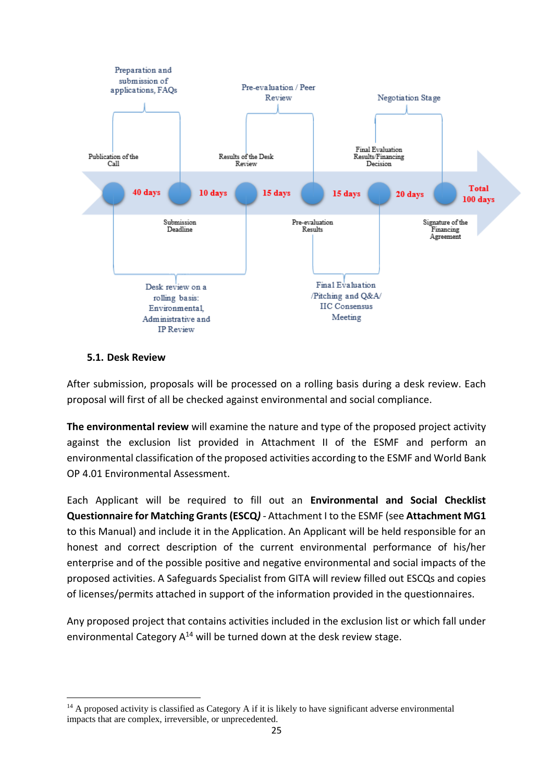

## <span id="page-24-0"></span>**5.1. Desk Review**

 $\overline{\phantom{a}}$ 

After submission, proposals will be processed on a rolling basis during a desk review. Each proposal will first of all be checked against environmental and social compliance.

**The environmental review** will examine the nature and type of the proposed project activity against the exclusion list provided in Attachment II of the ESMF and perform an environmental classification of the proposed activities according to the ESMF and World Bank OP 4.01 Environmental Assessment.

Each Applicant will be required to fill out an **Environmental and Social Checklist Questionnaire for Matching Grants(ESCQ***) -* Attachment I to the ESMF (see **Attachment MG1** to this Manual) and include it in the Application. An Applicant will be held responsible for an honest and correct description of the current environmental performance of his/her enterprise and of the possible positive and negative environmental and social impacts of the proposed activities. A Safeguards Specialist from GITA will review filled out ESCQs and copies of licenses/permits attached in support of the information provided in the questionnaires.

Any proposed project that contains activities included in the exclusion list or which fall under environmental Category  $A^{14}$  will be turned down at the desk review stage.

 $14$  A proposed activity is classified as Category A if it is likely to have significant adverse environmental impacts that are complex, irreversible, or unprecedented.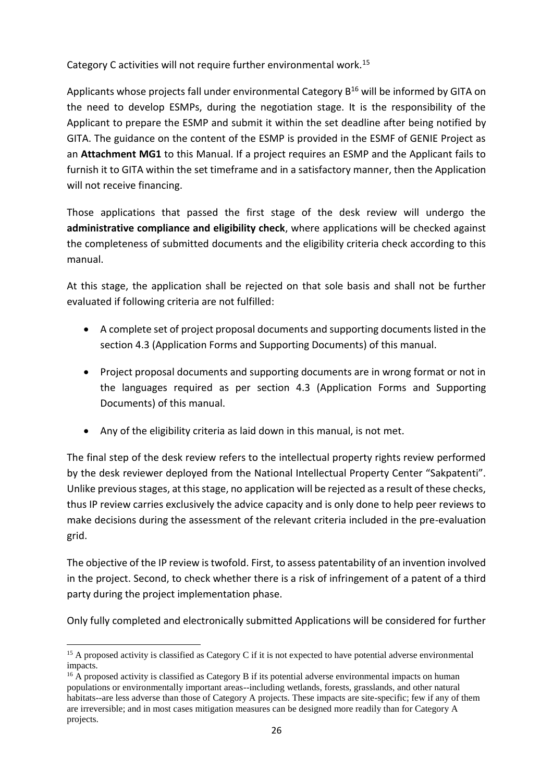Category C activities will not require further environmental work.<sup>15</sup>

Applicants whose projects fall under environmental Category  $B^{16}$  will be informed by GITA on the need to develop ESMPs, during the negotiation stage. It is the responsibility of the Applicant to prepare the ESMP and submit it within the set deadline after being notified by GITA. The guidance on the content of the ESMP is provided in the ESMF of GENIE Project as an **Attachment MG1** to this Manual. If a project requires an ESMP and the Applicant fails to furnish it to GITA within the set timeframe and in a satisfactory manner, then the Application will not receive financing.

Those applications that passed the first stage of the desk review will undergo the **administrative compliance and eligibility check**, where applications will be checked against the completeness of submitted documents and the eligibility criteria check according to this manual.

At this stage, the application shall be rejected on that sole basis and shall not be further evaluated if following criteria are not fulfilled:

- A complete set of project proposal documents and supporting documents listed in the section 4.3 (Application Forms and Supporting Documents) of this manual.
- Project proposal documents and supporting documents are in wrong format or not in the languages required as per section 4.3 (Application Forms and Supporting Documents) of this manual.
- Any of the eligibility criteria as laid down in this manual, is not met.

The final step of the desk review refers to the intellectual property rights review performed by the desk reviewer deployed from the National Intellectual Property Center "Sakpatenti". Unlike previous stages, at this stage, no application will be rejected as a result of these checks, thus IP review carries exclusively the advice capacity and is only done to help peer reviews to make decisions during the assessment of the relevant criteria included in the pre-evaluation grid.

The objective of the IP review is twofold. First, to assess patentability of an invention involved in the project. Second, to check whether there is a risk of infringement of a patent of a third party during the project implementation phase.

Only fully completed and electronically submitted Applications will be considered for further

1

 $15$  A proposed activity is classified as Category C if it is not expected to have potential adverse environmental impacts.

 $16$  A proposed activity is classified as Category B if its potential adverse environmental impacts on human populations or environmentally important areas--including wetlands, forests, grasslands, and other natural habitats--are less adverse than those of Category A projects. These impacts are site-specific; few if any of them are irreversible; and in most cases mitigation measures can be designed more readily than for Category A projects.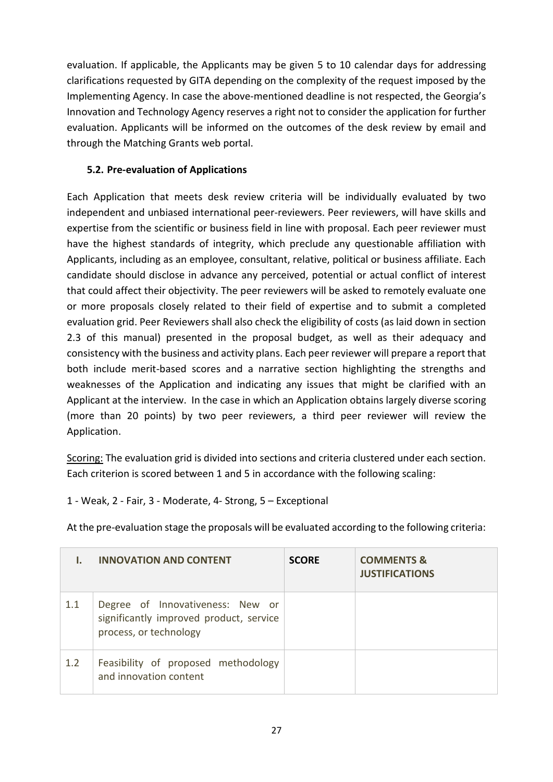evaluation. If applicable, the Applicants may be given 5 to 10 calendar days for addressing clarifications requested by GITA depending on the complexity of the request imposed by the Implementing Agency. In case the above-mentioned deadline is not respected, the Georgia's Innovation and Technology Agency reserves a right not to consider the application for further evaluation. Applicants will be informed on the outcomes of the desk review by email and through the Matching Grants web portal.

## <span id="page-26-0"></span>**5.2. Pre-evaluation of Applications**

Each Application that meets desk review criteria will be individually evaluated by two independent and unbiased international peer-reviewers. Peer reviewers, will have skills and expertise from the scientific or business field in line with proposal. Each peer reviewer must have the highest standards of integrity, which preclude any questionable affiliation with Applicants, including as an employee, consultant, relative, political or business affiliate. Each candidate should disclose in advance any perceived, potential or actual conflict of interest that could affect their objectivity. The peer reviewers will be asked to remotely evaluate one or more proposals closely related to their field of expertise and to submit a completed evaluation grid. Peer Reviewers shall also check the eligibility of costs (as laid down in section 2.3 of this manual) presented in the proposal budget, as well as their adequacy and consistency with the business and activity plans. Each peer reviewer will prepare a report that both include merit-based scores and a narrative section highlighting the strengths and weaknesses of the Application and indicating any issues that might be clarified with an Applicant at the interview. In the case in which an Application obtains largely diverse scoring (more than 20 points) by two peer reviewers, a third peer reviewer will review the Application.

Scoring: The evaluation grid is divided into sections and criteria clustered under each section. Each criterion is scored between 1 and 5 in accordance with the following scaling:

1 - Weak, 2 - Fair, 3 - Moderate, 4- Strong, 5 – Exceptional

At the pre-evaluation stage the proposals will be evaluated according to the following criteria:

|     | <b>INNOVATION AND CONTENT</b>                                                                         | <b>SCORE</b> | <b>COMMENTS &amp;</b><br><b>JUSTIFICATIONS</b> |
|-----|-------------------------------------------------------------------------------------------------------|--------------|------------------------------------------------|
| 1.1 | Degree of Innovativeness: New or<br>significantly improved product, service<br>process, or technology |              |                                                |
| 1.2 | Feasibility of proposed methodology<br>and innovation content                                         |              |                                                |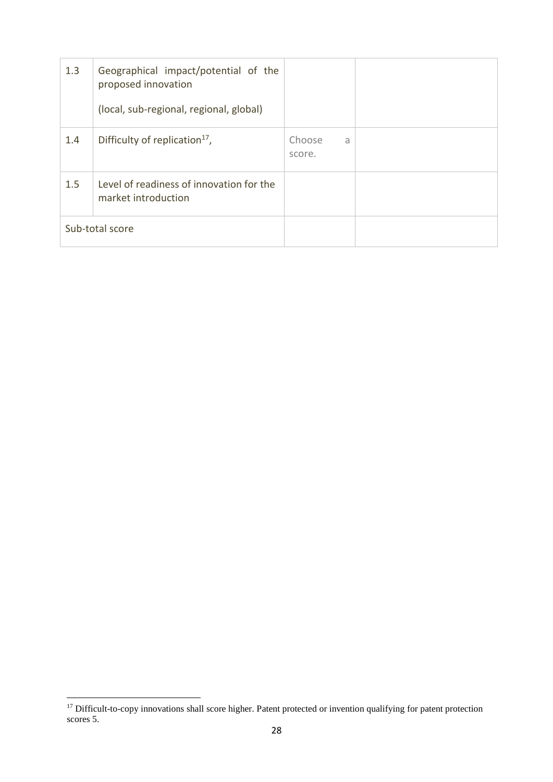| 1.3 | Geographical impact/potential of the<br>proposed innovation<br>(local, sub-regional, regional, global) |                       |  |
|-----|--------------------------------------------------------------------------------------------------------|-----------------------|--|
| 1.4 | Difficulty of replication <sup>17</sup> ,                                                              | Choose<br>a<br>score. |  |
| 1.5 | Level of readiness of innovation for the<br>market introduction                                        |                       |  |
|     | Sub-total score                                                                                        |                       |  |

 $\overline{\phantom{a}}$ 

<sup>&</sup>lt;sup>17</sup> Difficult-to-copy innovations shall score higher. Patent protected or invention qualifying for patent protection scores 5.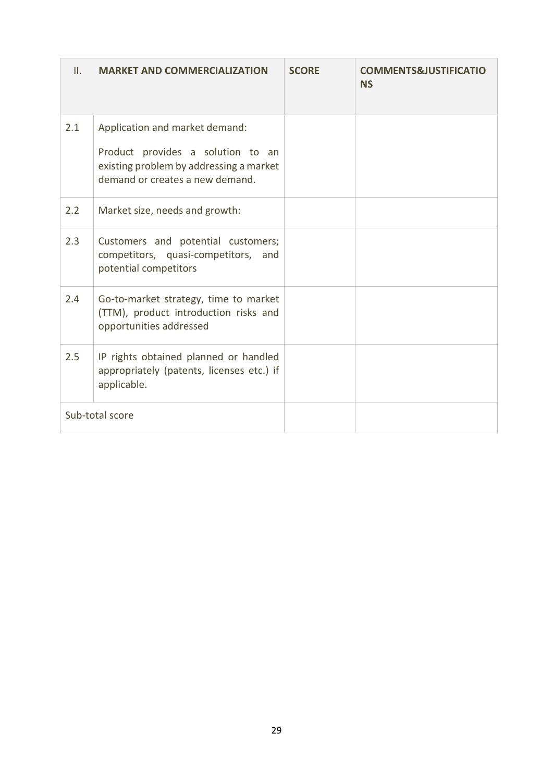| II. | <b>MARKET AND COMMERCIALIZATION</b>                                                                                                               | <b>SCORE</b> | <b>COMMENTS&amp;JUSTIFICATIO</b><br><b>NS</b> |
|-----|---------------------------------------------------------------------------------------------------------------------------------------------------|--------------|-----------------------------------------------|
| 2.1 | Application and market demand:<br>Product provides a solution to an<br>existing problem by addressing a market<br>demand or creates a new demand. |              |                                               |
| 2.2 | Market size, needs and growth:                                                                                                                    |              |                                               |
| 2.3 | Customers and potential customers;<br>competitors, quasi-competitors, and<br>potential competitors                                                |              |                                               |
| 2.4 | Go-to-market strategy, time to market<br>(TTM), product introduction risks and<br>opportunities addressed                                         |              |                                               |
| 2.5 | IP rights obtained planned or handled<br>appropriately (patents, licenses etc.) if<br>applicable.                                                 |              |                                               |
|     | Sub-total score                                                                                                                                   |              |                                               |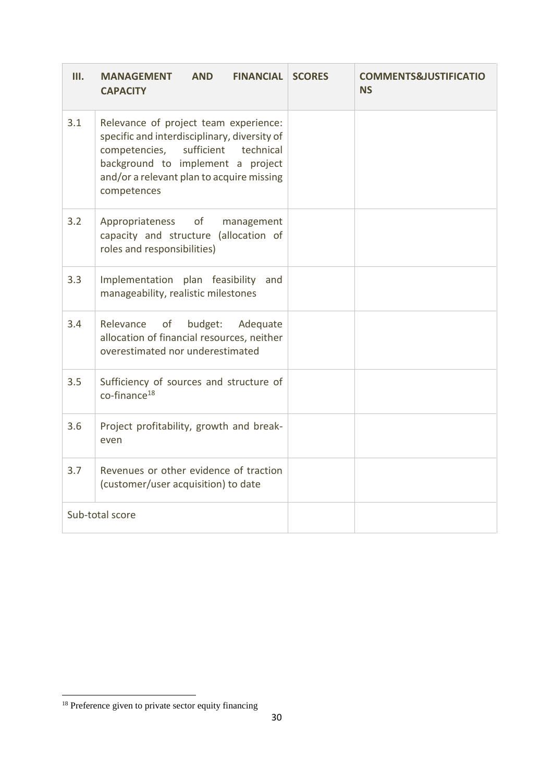| III. | <b>AND</b><br><b>FINANCIAL</b><br><b>MANAGEMENT</b><br><b>CAPACITY</b>                                                                                                                                                             | <b>SCORES</b> | <b>COMMENTS&amp;JUSTIFICATIO</b><br><b>NS</b> |
|------|------------------------------------------------------------------------------------------------------------------------------------------------------------------------------------------------------------------------------------|---------------|-----------------------------------------------|
| 3.1  | Relevance of project team experience:<br>specific and interdisciplinary, diversity of<br>competencies,<br>sufficient<br>technical<br>background to implement a project<br>and/or a relevant plan to acquire missing<br>competences |               |                                               |
| 3.2  | Appropriateness of<br>management<br>capacity and structure (allocation of<br>roles and responsibilities)                                                                                                                           |               |                                               |
| 3.3  | Implementation plan feasibility<br>and<br>manageability, realistic milestones                                                                                                                                                      |               |                                               |
| 3.4  | budget:<br>Adequate<br>Relevance<br>of<br>allocation of financial resources, neither<br>overestimated nor underestimated                                                                                                           |               |                                               |
| 3.5  | Sufficiency of sources and structure of<br>$co-finance18$                                                                                                                                                                          |               |                                               |
| 3.6  | Project profitability, growth and break-<br>even                                                                                                                                                                                   |               |                                               |
| 3.7  | Revenues or other evidence of traction<br>(customer/user acquisition) to date                                                                                                                                                      |               |                                               |
|      | Sub-total score                                                                                                                                                                                                                    |               |                                               |

 $\overline{a}$ 

<sup>&</sup>lt;sup>18</sup> Preference given to private sector equity financing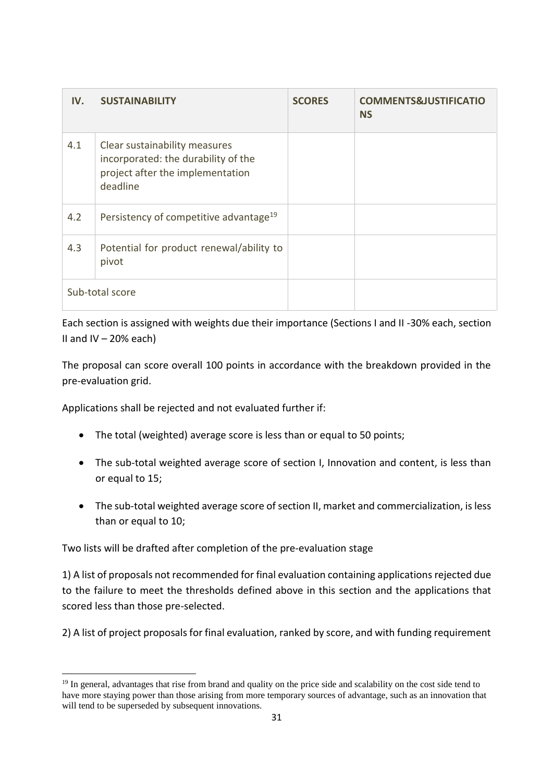| IV. | <b>SUSTAINABILITY</b>                                                                                                | <b>SCORES</b> | <b>COMMENTS&amp;JUSTIFICATIO</b><br><b>NS</b> |
|-----|----------------------------------------------------------------------------------------------------------------------|---------------|-----------------------------------------------|
| 4.1 | Clear sustainability measures<br>incorporated: the durability of the<br>project after the implementation<br>deadline |               |                                               |
| 4.2 | Persistency of competitive advantage <sup>19</sup>                                                                   |               |                                               |
| 4.3 | Potential for product renewal/ability to<br>pivot                                                                    |               |                                               |
|     | Sub-total score                                                                                                      |               |                                               |

Each section is assigned with weights due their importance (Sections I and II -30% each, section II and IV  $-$  20% each)

The proposal can score overall 100 points in accordance with the breakdown provided in the pre-evaluation grid.

Applications shall be rejected and not evaluated further if:

- The total (weighted) average score is less than or equal to 50 points;
- The sub-total weighted average score of section I, Innovation and content, is less than or equal to 15;
- The sub-total weighted average score of section II, market and commercialization, is less than or equal to 10;

Two lists will be drafted after completion of the pre-evaluation stage

 $\overline{a}$ 

1) A list of proposals not recommended for final evaluation containing applications rejected due to the failure to meet the thresholds defined above in this section and the applications that scored less than those pre-selected.

2) A list of project proposals for final evaluation, ranked by score, and with funding requirement

<sup>&</sup>lt;sup>19</sup> In general, advantages that rise from brand and quality on the price side and scalability on the cost side tend to have more staying power than those arising from more temporary sources of advantage, such as an innovation that will tend to be superseded by subsequent innovations.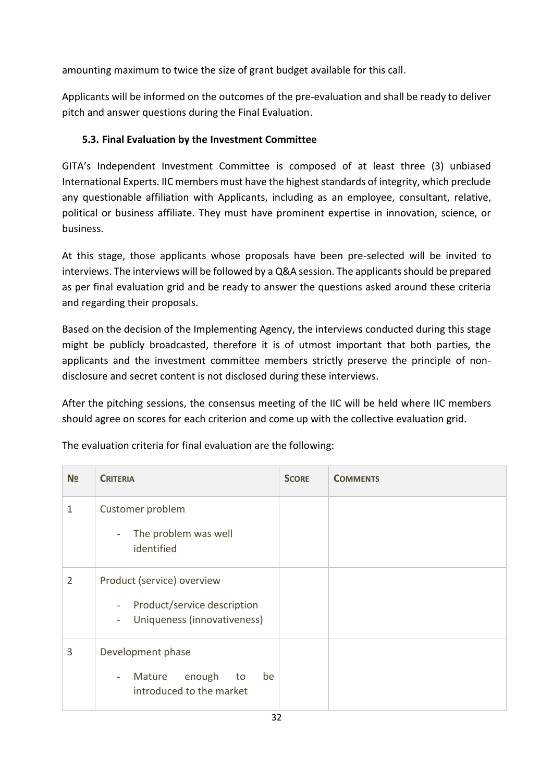amounting maximum to twice the size of grant budget available for this call.

Applicants will be informed on the outcomes of the pre-evaluation and shall be ready to deliver pitch and answer questions during the Final Evaluation.

## <span id="page-31-0"></span>**5.3. Final Evaluation by the Investment Committee**

GITA's Independent Investment Committee is composed of at least three (3) unbiased International Experts. IIC members must have the highest standards of integrity, which preclude any questionable affiliation with Applicants, including as an employee, consultant, relative, political or business affiliate. They must have prominent expertise in innovation, science, or business.

At this stage, those applicants whose proposals have been pre-selected will be invited to interviews. The interviews will be followed by a Q&A session. The applicants should be prepared as per final evaluation grid and be ready to answer the questions asked around these criteria and regarding their proposals.

Based on the decision of the Implementing Agency, the interviews conducted during this stage might be publicly broadcasted, therefore it is of utmost important that both parties, the applicants and the investment committee members strictly preserve the principle of nondisclosure and secret content is not disclosed during these interviews.

After the pitching sessions, the consensus meeting of the IIC will be held where IIC members should agree on scores for each criterion and come up with the collective evaluation grid.

| N <sub>2</sub> | <b>CRITERIA</b>                                                                                                                        | <b>SCORE</b> | <b>COMMENTS</b> |
|----------------|----------------------------------------------------------------------------------------------------------------------------------------|--------------|-----------------|
| $\mathbf{1}$   | Customer problem<br>The problem was well<br>$\overline{\phantom{a}}$<br>identified                                                     |              |                 |
| 2              | Product (service) overview<br>Product/service description<br>$\overline{\phantom{a}}$<br>Uniqueness (innovativeness)<br>$\blacksquare$ |              |                 |
| 3              | Development phase<br>enough<br>be<br>Mature<br>to<br>$\overline{\phantom{a}}$<br>introduced to the market                              |              |                 |

The evaluation criteria for final evaluation are the following: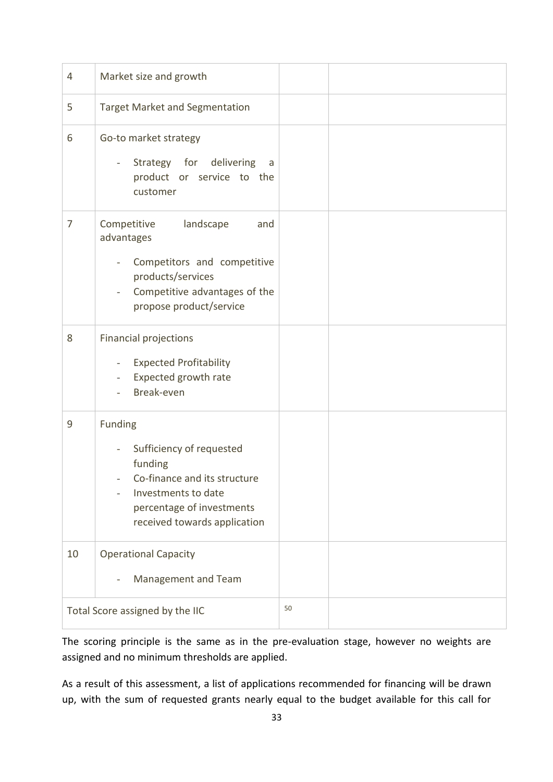| 4              | Market size and growth                                                                                                                                                                                |    |  |
|----------------|-------------------------------------------------------------------------------------------------------------------------------------------------------------------------------------------------------|----|--|
| 5              | <b>Target Market and Segmentation</b>                                                                                                                                                                 |    |  |
| 6              | Go-to market strategy<br>Strategy for delivering<br>a<br>$\overline{\phantom{a}}$<br>product or service to the<br>customer                                                                            |    |  |
| $\overline{7}$ | Competitive<br>landscape<br>and<br>advantages<br>Competitors and competitive<br>÷,<br>products/services<br>Competitive advantages of the<br>propose product/service                                   |    |  |
| 8              | <b>Financial projections</b><br><b>Expected Profitability</b><br>Expected growth rate<br>Break-even                                                                                                   |    |  |
| 9              | <b>Funding</b><br>Sufficiency of requested<br>funding<br>Co-finance and its structure<br>Investments to date<br>$\overline{\phantom{0}}$<br>percentage of investments<br>received towards application |    |  |
| 10             | <b>Operational Capacity</b><br>Management and Team                                                                                                                                                    |    |  |
|                | Total Score assigned by the IIC                                                                                                                                                                       | 50 |  |

The scoring principle is the same as in the pre-evaluation stage, however no weights are assigned and no minimum thresholds are applied.

As a result of this assessment, a list of applications recommended for financing will be drawn up, with the sum of requested grants nearly equal to the budget available for this call for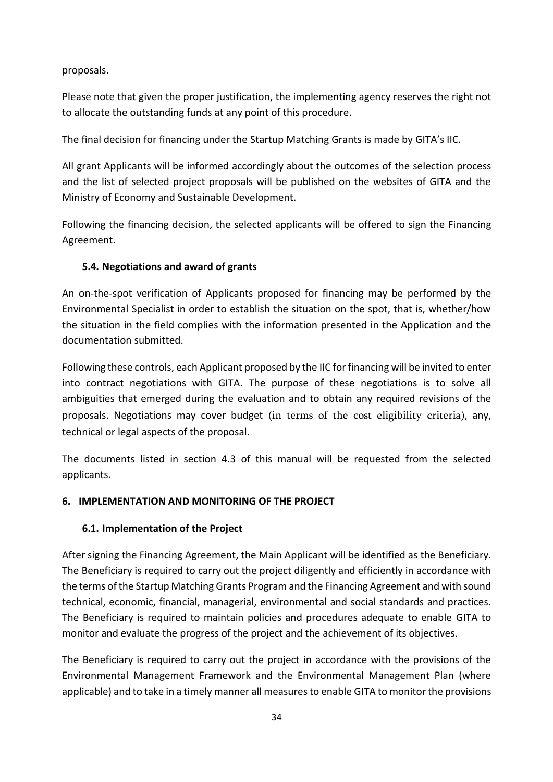proposals.

Please note that given the proper justification, the implementing agency reserves the right not to allocate the outstanding funds at any point of this procedure.

The final decision for financing under the Startup Matching Grants is made by GITA's IIC.

All grant Applicants will be informed accordingly about the outcomes of the selection process and the list of selected project proposals will be published on the websites of GITA and the Ministry of Economy and Sustainable Development.

Following the financing decision, the selected applicants will be offered to sign the Financing Agreement.

## <span id="page-33-0"></span>**5.4. Negotiations and award of grants**

An on-the-spot verification of Applicants proposed for financing may be performed by the Environmental Specialist in order to establish the situation on the spot, that is, whether/how the situation in the field complies with the information presented in the Application and the documentation submitted.

Following these controls, each Applicant proposed by the IIC for financing will be invited to enter into contract negotiations with GITA. The purpose of these negotiations is to solve all ambiguities that emerged during the evaluation and to obtain any required revisions of the proposals. Negotiations may cover budget (in terms of the cost eligibility criteria), any, technical or legal aspects of the proposal.

The documents listed in section 4.3 of this manual will be requested from the selected applicants.

## <span id="page-33-1"></span>**6. IMPLEMENTATION AND MONITORING OF THE PROJECT**

## <span id="page-33-2"></span>**6.1. Implementation of the Project**

After signing the Financing Agreement, the Main Applicant will be identified as the Beneficiary. The Beneficiary is required to carry out the project diligently and efficiently in accordance with the terms of the Startup Matching Grants Program and the Financing Agreement and with sound technical, economic, financial, managerial, environmental and social standards and practices. The Beneficiary is required to maintain policies and procedures adequate to enable GITA to monitor and evaluate the progress of the project and the achievement of its objectives.

The Beneficiary is required to carry out the project in accordance with the provisions of the Environmental Management Framework and the Environmental Management Plan (where applicable) and to take in a timely manner all measures to enable GITA to monitor the provisions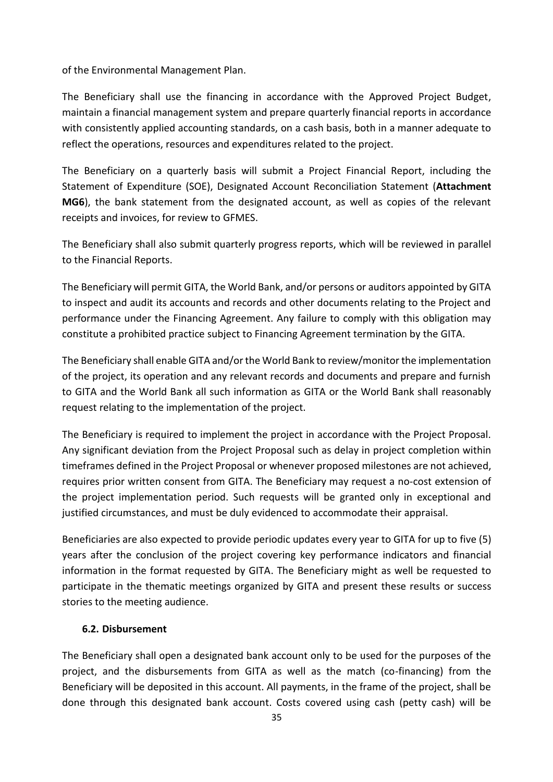of the Environmental Management Plan.

The Beneficiary shall use the financing in accordance with the Approved Project Budget, maintain a financial management system and prepare quarterly financial reports in accordance with consistently applied accounting standards, on a cash basis, both in a manner adequate to reflect the operations, resources and expenditures related to the project.

The Beneficiary on a quarterly basis will submit a Project Financial Report, including the Statement of Expenditure (SOE), Designated Account Reconciliation Statement (**Attachment MG6**), the bank statement from the designated account, as well as copies of the relevant receipts and invoices, for review to GFMES.

The Beneficiary shall also submit quarterly progress reports, which will be reviewed in parallel to the Financial Reports.

The Beneficiary will permit GITA, the World Bank, and/or persons or auditors appointed by GITA to inspect and audit its accounts and records and other documents relating to the Project and performance under the Financing Agreement. Any failure to comply with this obligation may constitute a prohibited practice subject to Financing Agreement termination by the GITA.

The Beneficiary shall enable GITA and/or the World Bank to review/monitor the implementation of the project, its operation and any relevant records and documents and prepare and furnish to GITA and the World Bank all such information as GITA or the World Bank shall reasonably request relating to the implementation of the project.

The Beneficiary is required to implement the project in accordance with the Project Proposal. Any significant deviation from the Project Proposal such as delay in project completion within timeframes defined in the Project Proposal or whenever proposed milestones are not achieved, requires prior written consent from GITA. The Beneficiary may request a no-cost extension of the project implementation period. Such requests will be granted only in exceptional and justified circumstances, and must be duly evidenced to accommodate their appraisal.

Beneficiaries are also expected to provide periodic updates every year to GITA for up to five (5) years after the conclusion of the project covering key performance indicators and financial information in the format requested by GITA. The Beneficiary might as well be requested to participate in the thematic meetings organized by GITA and present these results or success stories to the meeting audience.

#### <span id="page-34-0"></span>**6.2. Disbursement**

The Beneficiary shall open a designated bank account only to be used for the purposes of the project, and the disbursements from GITA as well as the match (co-financing) from the Beneficiary will be deposited in this account. All payments, in the frame of the project, shall be done through this designated bank account. Costs covered using cash (petty cash) will be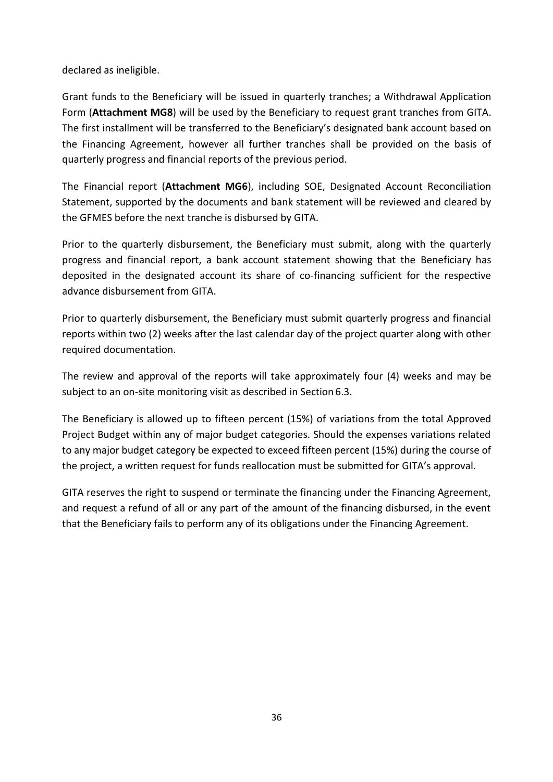declared as ineligible.

Grant funds to the Beneficiary will be issued in quarterly tranches; a Withdrawal Application Form (**Attachment MG8**) will be used by the Beneficiary to request grant tranches from GITA. The first installment will be transferred to the Beneficiary's designated bank account based on the Financing Agreement, however all further tranches shall be provided on the basis of quarterly progress and financial reports of the previous period.

The Financial report (**Attachment MG6**), including SOE, Designated Account Reconciliation Statement, supported by the documents and bank statement will be reviewed and cleared by the GFMES before the next tranche is disbursed by GITA.

Prior to the quarterly disbursement, the Beneficiary must submit, along with the quarterly progress and financial report, a bank account statement showing that the Beneficiary has deposited in the designated account its share of co-financing sufficient for the respective advance disbursement from GITA.

Prior to quarterly disbursement, the Beneficiary must submit quarterly progress and financial reports within two (2) weeks after the last calendar day of the project quarter along with other required documentation.

The review and approval of the reports will take approximately four (4) weeks and may be subject to an on-site monitoring visit as described in Section 6.3.

The Beneficiary is allowed up to fifteen percent (15%) of variations from the total Approved Project Budget within any of major budget categories. Should the expenses variations related to any major budget category be expected to exceed fifteen percent (15%) during the course of the project, a written request for funds reallocation must be submitted for GITA's approval.

GITA reserves the right to suspend or terminate the financing under the Financing Agreement, and request a refund of all or any part of the amount of the financing disbursed, in the event that the Beneficiary fails to perform any of its obligations under the Financing Agreement.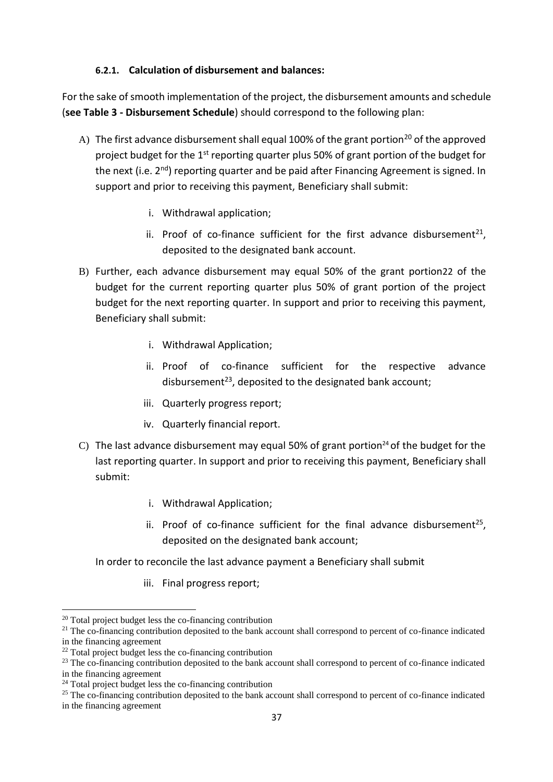#### **6.2.1. Calculation of disbursement and balances:**

<span id="page-36-0"></span>For the sake of smooth implementation of the project, the disbursement amounts and schedule (**see Table 3 - Disbursement Schedule**) should correspond to the following plan:

- A) The first advance disbursement shall equal 100% of the grant portion<sup>20</sup> of the approved project budget for the  $1<sup>st</sup>$  reporting quarter plus 50% of grant portion of the budget for the next (i.e. 2<sup>nd</sup>) reporting quarter and be paid after Financing Agreement is signed. In support and prior to receiving this payment, Beneficiary shall submit:
	- i. Withdrawal application;
	- ii. Proof of co-finance sufficient for the first advance disbursement<sup>21</sup>, deposited to the designated bank account.
- B) Further, each advance disbursement may equal 50% of the grant portion22 of the budget for the current reporting quarter plus 50% of grant portion of the project budget for the next reporting quarter. In support and prior to receiving this payment, Beneficiary shall submit:
	- i. Withdrawal Application;
	- ii. Proof of co-finance sufficient for the respective advance disbursement<sup>23</sup>, deposited to the designated bank account;
	- iii. Quarterly progress report;
	- iv. Quarterly financial report.
- C) The last advance disbursement may equal 50% of grant portion<sup>24</sup> of the budget for the last reporting quarter. In support and prior to receiving this payment, Beneficiary shall submit:
	- i. Withdrawal Application;
	- ii. Proof of co-finance sufficient for the final advance disbursement<sup>25</sup>, deposited on the designated bank account;

In order to reconcile the last advance payment a Beneficiary shall submit

iii. Final progress report;

 $\overline{a}$ 

<sup>20</sup> Total project budget less the co-financing contribution

<sup>&</sup>lt;sup>21</sup> The co-financing contribution deposited to the bank account shall correspond to percent of co-finance indicated in the financing agreement

<sup>22</sup> Total project budget less the co-financing contribution

<sup>&</sup>lt;sup>23</sup> The co-financing contribution deposited to the bank account shall correspond to percent of co-finance indicated in the financing agreement

<sup>&</sup>lt;sup>24</sup> Total project budget less the co-financing contribution

<sup>&</sup>lt;sup>25</sup> The co-financing contribution deposited to the bank account shall correspond to percent of co-finance indicated in the financing agreement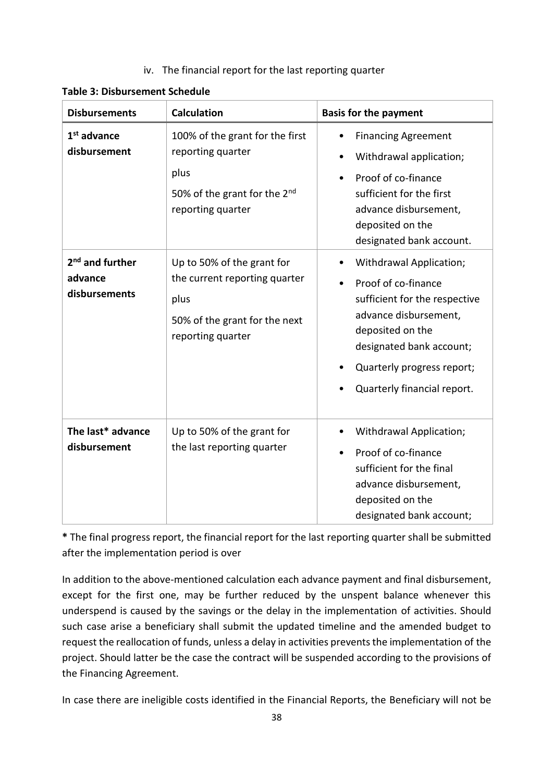#### iv. The financial report for the last reporting quarter

| <b>Disbursements</b>                                    | <b>Calculation</b>                                                                                                        | <b>Basis for the payment</b>                                                                                                                                                                                                                                      |
|---------------------------------------------------------|---------------------------------------------------------------------------------------------------------------------------|-------------------------------------------------------------------------------------------------------------------------------------------------------------------------------------------------------------------------------------------------------------------|
| $1st$ advance<br>disbursement                           | 100% of the grant for the first<br>reporting quarter<br>plus<br>50% of the grant for the $2^{nd}$<br>reporting quarter    | <b>Financing Agreement</b><br>$\bullet$<br>Withdrawal application;<br>$\bullet$<br>Proof of co-finance<br>$\bullet$<br>sufficient for the first<br>advance disbursement,<br>deposited on the<br>designated bank account.                                          |
| 2 <sup>nd</sup> and further<br>advance<br>disbursements | Up to 50% of the grant for<br>the current reporting quarter<br>plus<br>50% of the grant for the next<br>reporting quarter | Withdrawal Application;<br>$\bullet$<br>Proof of co-finance<br>$\bullet$<br>sufficient for the respective<br>advance disbursement,<br>deposited on the<br>designated bank account;<br>Quarterly progress report;<br>۰<br>Quarterly financial report.<br>$\bullet$ |
| The last* advance<br>disbursement                       | Up to 50% of the grant for<br>the last reporting quarter                                                                  | Withdrawal Application;<br>$\bullet$<br>Proof of co-finance<br>$\bullet$<br>sufficient for the final<br>advance disbursement,<br>deposited on the<br>designated bank account;                                                                                     |

**Table 3: Disbursement Schedule**

**\*** The final progress report, the financial report for the last reporting quarter shall be submitted after the implementation period is over

In addition to the above-mentioned calculation each advance payment and final disbursement, except for the first one, may be further reduced by the unspent balance whenever this underspend is caused by the savings or the delay in the implementation of activities. Should such case arise a beneficiary shall submit the updated timeline and the amended budget to request the reallocation of funds, unless a delay in activities prevents the implementation of the project. Should latter be the case the contract will be suspended according to the provisions of the Financing Agreement.

In case there are ineligible costs identified in the Financial Reports, the Beneficiary will not be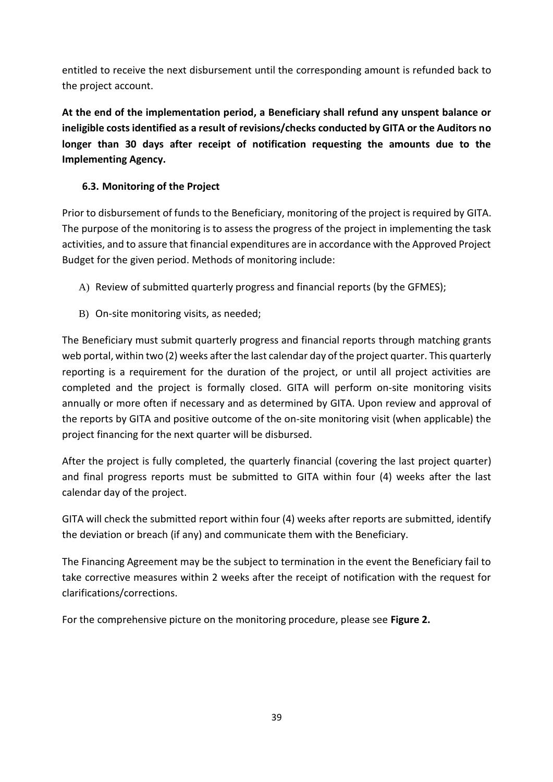entitled to receive the next disbursement until the corresponding amount is refunded back to the project account.

**At the end of the implementation period, a Beneficiary shall refund any unspent balance or ineligible costs identified as a result of revisions/checks conducted by GITA or the Auditors no longer than 30 days after receipt of notification requesting the amounts due to the Implementing Agency.** 

## <span id="page-38-0"></span>**6.3. Monitoring of the Project**

Prior to disbursement of funds to the Beneficiary, monitoring of the project is required by GITA. The purpose of the monitoring is to assess the progress of the project in implementing the task activities, and to assure that financial expenditures are in accordance with the Approved Project Budget for the given period. Methods of monitoring include:

- A) Review of submitted quarterly progress and financial reports (by the GFMES);
- B) On-site monitoring visits, as needed;

The Beneficiary must submit quarterly progress and financial reports through matching grants web portal, within two (2) weeks after the last calendar day of the project quarter. This quarterly reporting is a requirement for the duration of the project, or until all project activities are completed and the project is formally closed. GITA will perform on-site monitoring visits annually or more often if necessary and as determined by GITA. Upon review and approval of the reports by GITA and positive outcome of the on-site monitoring visit (when applicable) the project financing for the next quarter will be disbursed.

After the project is fully completed, the quarterly financial (covering the last project quarter) and final progress reports must be submitted to GITA within four (4) weeks after the last calendar day of the project.

GITA will check the submitted report within four (4) weeks after reports are submitted, identify the deviation or breach (if any) and communicate them with the Beneficiary.

The Financing Agreement may be the subject to termination in the event the Beneficiary fail to take corrective measures within 2 weeks after the receipt of notification with the request for clarifications/corrections.

For the comprehensive picture on the monitoring procedure, please see **Figure 2.**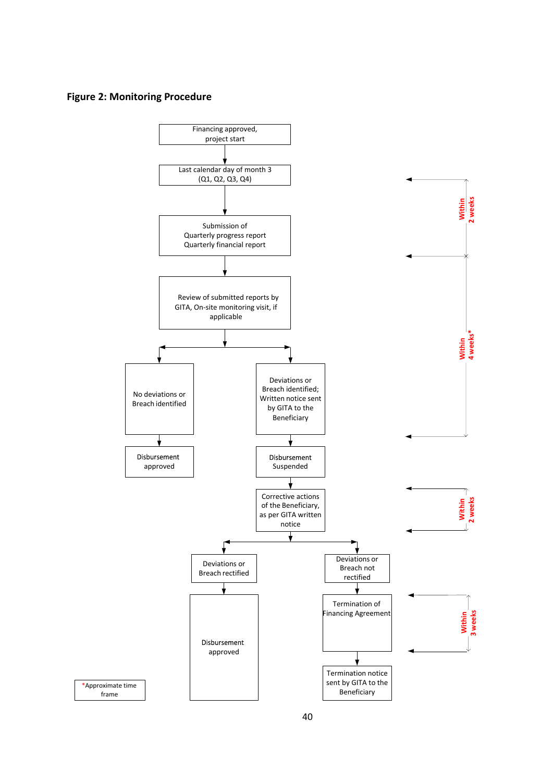#### **Figure 2: Monitoring Procedure**

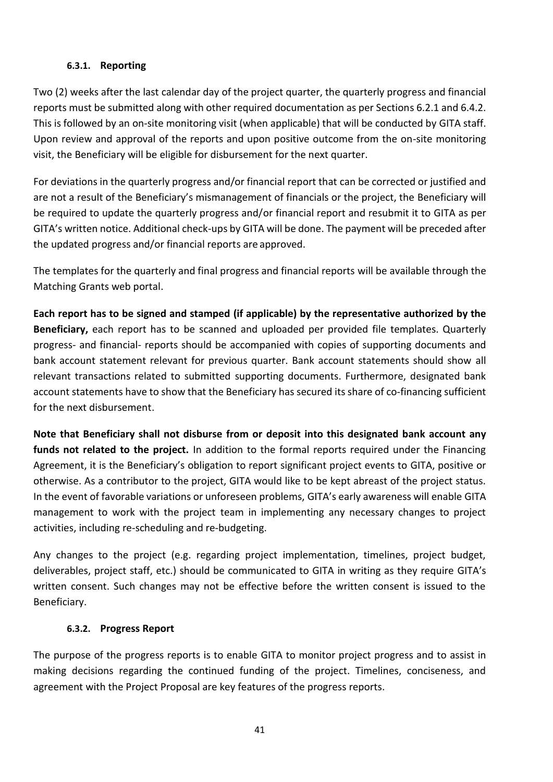## **6.3.1. Reporting**

<span id="page-40-0"></span>Two (2) weeks after the last calendar day of the project quarter, the quarterly progress and financial reports must be submitted along with other required documentation as per Sections 6.2.1 and 6.4.2. This is followed by an on-site monitoring visit (when applicable) that will be conducted by GITA staff. Upon review and approval of the reports and upon positive outcome from the on-site monitoring visit, the Beneficiary will be eligible for disbursement for the next quarter.

For deviations in the quarterly progress and/or financial report that can be corrected or justified and are not a result of the Beneficiary's mismanagement of financials or the project, the Beneficiary will be required to update the quarterly progress and/or financial report and resubmit it to GITA as per GITA's written notice. Additional check-ups by GITA will be done. The payment will be preceded after the updated progress and/or financial reports are approved.

The templates for the quarterly and final progress and financial reports will be available through the Matching Grants web portal.

**Each report has to be signed and stamped (if applicable) by the representative authorized by the Beneficiary,** each report has to be scanned and uploaded per provided file templates. Quarterly progress- and financial- reports should be accompanied with copies of supporting documents and bank account statement relevant for previous quarter. Bank account statements should show all relevant transactions related to submitted supporting documents. Furthermore, designated bank account statements have to show that the Beneficiary has secured its share of co-financing sufficient for the next disbursement.

**Note that Beneficiary shall not disburse from or deposit into this designated bank account any funds not related to the project.** In addition to the formal reports required under the Financing Agreement, it is the Beneficiary's obligation to report significant project events to GITA, positive or otherwise. As a contributor to the project, GITA would like to be kept abreast of the project status. In the event of favorable variations or unforeseen problems, GITA's early awareness will enable GITA management to work with the project team in implementing any necessary changes to project activities, including re-scheduling and re-budgeting.

Any changes to the project (e.g. regarding project implementation, timelines, project budget, deliverables, project staff, etc.) should be communicated to GITA in writing as they require GITA's written consent. Such changes may not be effective before the written consent is issued to the Beneficiary.

## **6.3.2. Progress Report**

<span id="page-40-1"></span>The purpose of the progress reports is to enable GITA to monitor project progress and to assist in making decisions regarding the continued funding of the project. Timelines, conciseness, and agreement with the Project Proposal are key features of the progress reports.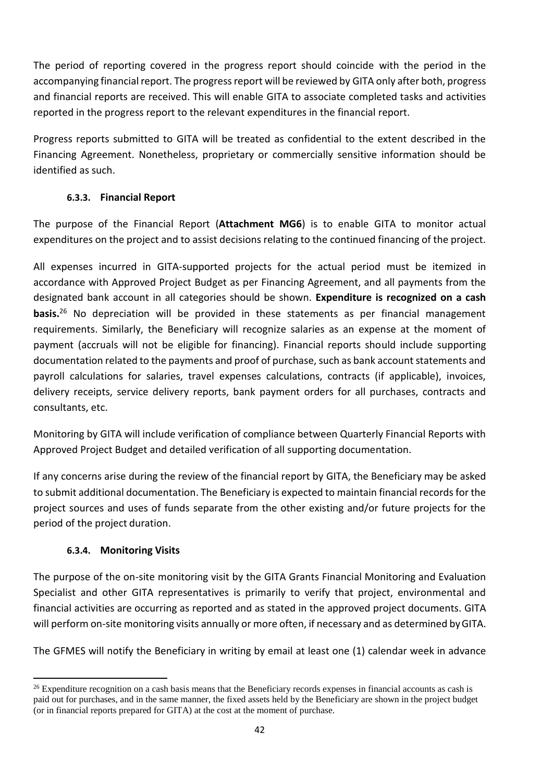The period of reporting covered in the progress report should coincide with the period in the accompanying financial report. The progress report will be reviewed by GITA only after both, progress and financial reports are received. This will enable GITA to associate completed tasks and activities reported in the progress report to the relevant expenditures in the financial report.

Progress reports submitted to GITA will be treated as confidential to the extent described in the Financing Agreement. Nonetheless, proprietary or commercially sensitive information should be identified as such.

## **6.3.3. Financial Report**

<span id="page-41-0"></span>The purpose of the Financial Report (**Attachment MG6**) is to enable GITA to monitor actual expenditures on the project and to assist decisions relating to the continued financing of the project.

All expenses incurred in GITA-supported projects for the actual period must be itemized in accordance with Approved Project Budget as per Financing Agreement, and all payments from the designated bank account in all categories should be shown. **Expenditure is recognized on a cash basis.** <sup>26</sup> No depreciation will be provided in these statements as per financial management requirements. Similarly, the Beneficiary will recognize salaries as an expense at the moment of payment (accruals will not be eligible for financing). Financial reports should include supporting documentation related to the payments and proof of purchase, such as bank account statements and payroll calculations for salaries, travel expenses calculations, contracts (if applicable), invoices, delivery receipts, service delivery reports, bank payment orders for all purchases, contracts and consultants, etc.

Monitoring by GITA will include verification of compliance between Quarterly Financial Reports with Approved Project Budget and detailed verification of all supporting documentation.

If any concerns arise during the review of the financial report by GITA, the Beneficiary may be asked to submit additional documentation. The Beneficiary is expected to maintain financial records for the project sources and uses of funds separate from the other existing and/or future projects for the period of the project duration.

## **6.3.4. Monitoring Visits**

**.** 

<span id="page-41-1"></span>The purpose of the on-site monitoring visit by the GITA Grants Financial Monitoring and Evaluation Specialist and other GITA representatives is primarily to verify that project, environmental and financial activities are occurring as reported and as stated in the approved project documents. GITA will perform on-site monitoring visits annually or more often, if necessary and as determined byGITA.

The GFMES will notify the Beneficiary in writing by email at least one (1) calendar week in advance

<sup>&</sup>lt;sup>26</sup> Expenditure recognition on a cash basis means that the Beneficiary records expenses in financial accounts as cash is paid out for purchases, and in the same manner, the fixed assets held by the Beneficiary are shown in the project budget (or in financial reports prepared for GITA) at the cost at the moment of purchase.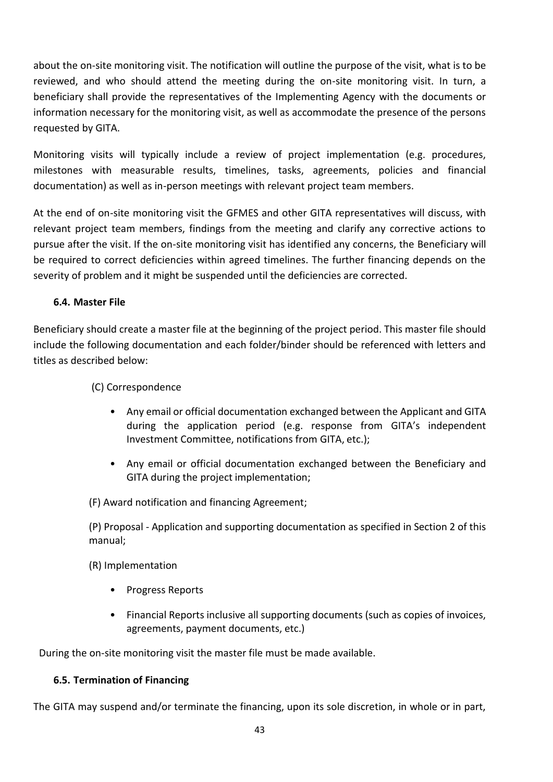about the on-site monitoring visit. The notification will outline the purpose of the visit, what is to be reviewed, and who should attend the meeting during the on-site monitoring visit. In turn, a beneficiary shall provide the representatives of the Implementing Agency with the documents or information necessary for the monitoring visit, as well as accommodate the presence of the persons requested by GITA.

Monitoring visits will typically include a review of project implementation (e.g. procedures, milestones with measurable results, timelines, tasks, agreements, policies and financial documentation) as well as in-person meetings with relevant project team members.

At the end of on-site monitoring visit the GFMES and other GITA representatives will discuss, with relevant project team members, findings from the meeting and clarify any corrective actions to pursue after the visit. If the on-site monitoring visit has identified any concerns, the Beneficiary will be required to correct deficiencies within agreed timelines. The further financing depends on the severity of problem and it might be suspended until the deficiencies are corrected.

## <span id="page-42-0"></span>**6.4. Master File**

Beneficiary should create a master file at the beginning of the project period. This master file should include the following documentation and each folder/binder should be referenced with letters and titles as described below:

## (C) Correspondence

- Any email or official documentation exchanged between the Applicant and GITA during the application period (e.g. response from GITA's independent Investment Committee, notifications from GITA, etc.);
- Any email or official documentation exchanged between the Beneficiary and GITA during the project implementation;

(F) Award notification and financing Agreement;

(P) Proposal - Application and supporting documentation as specified in Section 2 of this manual;

(R) Implementation

- Progress Reports
- Financial Reports inclusive all supporting documents (such as copies of invoices, agreements, payment documents, etc.)

During the on-site monitoring visit the master file must be made available.

## <span id="page-42-1"></span>**6.5. Termination of Financing**

The GITA may suspend and/or terminate the financing, upon its sole discretion, in whole or in part,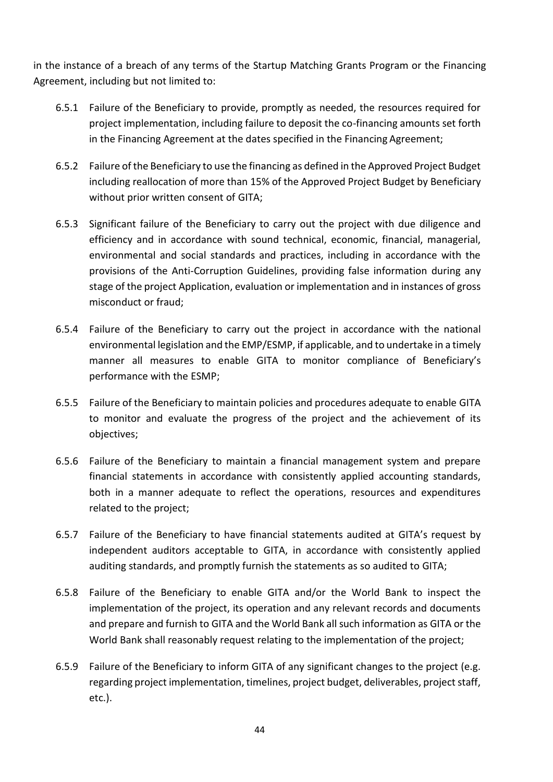in the instance of a breach of any terms of the Startup Matching Grants Program or the Financing Agreement, including but not limited to:

- 6.5.1 Failure of the Beneficiary to provide, promptly as needed, the resources required for project implementation, including failure to deposit the co-financing amounts set forth in the Financing Agreement at the dates specified in the Financing Agreement;
- 6.5.2 Failure of the Beneficiary to use the financing as defined in the Approved Project Budget including reallocation of more than 15% of the Approved Project Budget by Beneficiary without prior written consent of GITA;
- 6.5.3 Significant failure of the Beneficiary to carry out the project with due diligence and efficiency and in accordance with sound technical, economic, financial, managerial, environmental and social standards and practices, including in accordance with the provisions of the Anti-Corruption Guidelines, providing false information during any stage of the project Application, evaluation or implementation and in instances of gross misconduct or fraud;
- 6.5.4 Failure of the Beneficiary to carry out the project in accordance with the national environmental legislation and the EMP/ESMP, if applicable, and to undertake in a timely manner all measures to enable GITA to monitor compliance of Beneficiary's performance with the ESMP;
- 6.5.5 Failure of the Beneficiary to maintain policies and procedures adequate to enable GITA to monitor and evaluate the progress of the project and the achievement of its objectives;
- 6.5.6 Failure of the Beneficiary to maintain a financial management system and prepare financial statements in accordance with consistently applied accounting standards, both in a manner adequate to reflect the operations, resources and expenditures related to the project;
- 6.5.7 Failure of the Beneficiary to have financial statements audited at GITA's request by independent auditors acceptable to GITA, in accordance with consistently applied auditing standards, and promptly furnish the statements as so audited to GITA;
- 6.5.8 Failure of the Beneficiary to enable GITA and/or the World Bank to inspect the implementation of the project, its operation and any relevant records and documents and prepare and furnish to GITA and the World Bank all such information as GITA or the World Bank shall reasonably request relating to the implementation of the project;
- 6.5.9 Failure of the Beneficiary to inform GITA of any significant changes to the project (e.g. regarding project implementation, timelines, project budget, deliverables, project staff, etc.).